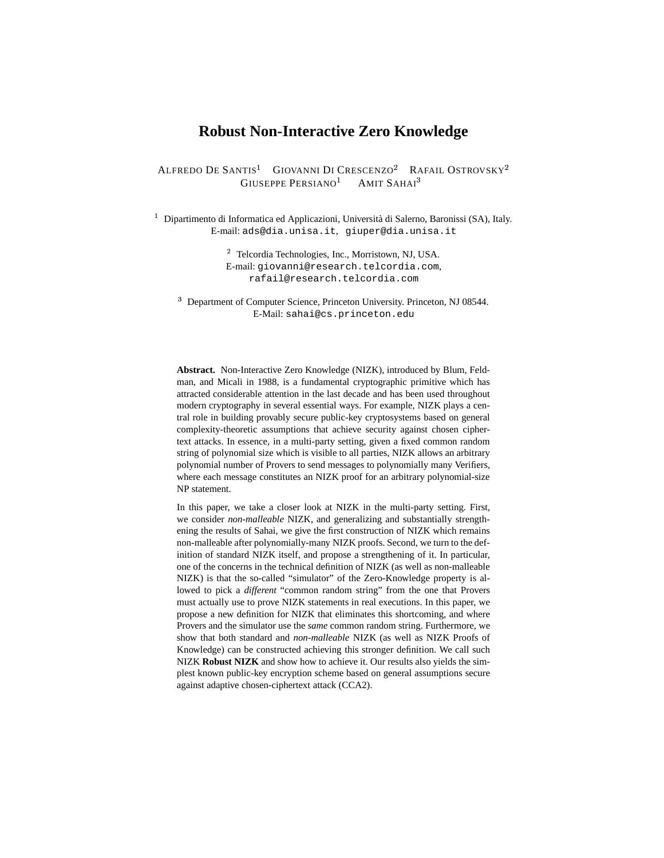# **Robust Non-Interactive Zero Knowledge**

ALFREDO DE SANTIS<sup>1</sup> GIOVANNI DI CRESCENZO<sup>2</sup> RAFAIL OSTROVSKY<sup>2</sup> GIUSEPPE PERSIANO<sup>1</sup> AMIT SAHAI

<sup>1</sup> Dipartimento di Informatica ed Applicazioni, Università di Salerno, Baronissi (SA), Italy. E-mail: ads@dia.unisa.it, giuper@dia.unisa.it

> <sup>2</sup> Telcordia Technologies, Inc., Morristown, NJ, USA. E-mail: giovanni@research.telcordia.com, rafail@research.telcordia.com

<sup>3</sup> Department of Computer Science, Princeton University. Princeton, NJ 08544. E-Mail: sahai@cs.princeton.edu

**Abstract.** Non-Interactive Zero Knowledge (NIZK), introduced by Blum, Feldman, and Micali in 1988, is a fundamental cryptographic primitive which has attracted considerable attention in the last decade and has been used throughout modern cryptography in several essential ways. For example, NIZK plays a central role in building provably secure public-key cryptosystems based on general complexity-theoretic assumptions that achieve security against chosen ciphertext attacks. In essence, in a multi-party setting, given a fixed common random string of polynomial size which is visible to all parties, NIZK allows an arbitrary polynomial number of Provers to send messages to polynomially many Verifiers, where each message constitutes an NIZK proof for an arbitrary polynomial-size NP statement.

In this paper, we take a closer look at NIZK in the multi-party setting. First, we consider *non-malleable* NIZK, and generalizing and substantially strengthening the results of Sahai, we give the first construction of NIZK which remains non-malleable after polynomially-many NIZK proofs. Second, we turn to the definition of standard NIZK itself, and propose a strengthening of it. In particular, one of the concerns in the technical definition of NIZK (as well as non-malleable NIZK) is that the so-called "simulator" of the Zero-Knowledge property is allowed to pick a *different* "common random string" from the one that Provers must actually use to prove NIZK statements in real executions. In this paper, we propose a new definition for NIZK that eliminates this shortcoming, and where Provers and the simulator use the *same* common random string. Furthermore, we show that both standard and *non-malleable* NIZK (as well as NIZK Proofs of Knowledge) can be constructed achieving this stronger definition. We call such NIZK **Robust NIZK** and show how to achieve it. Our results also yields the simplest known public-key encryption scheme based on general assumptions secure against adaptive chosen-ciphertext attack (CCA2).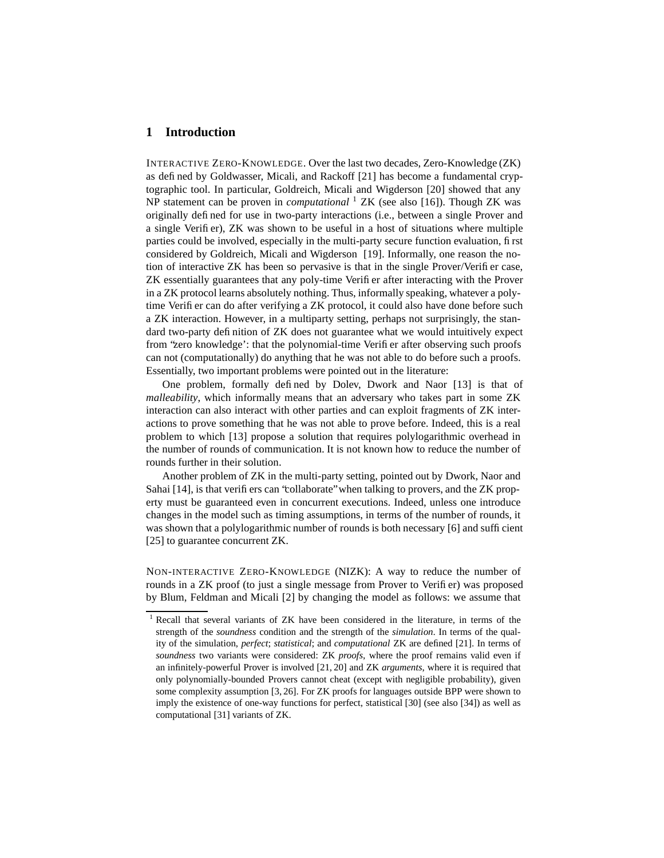## **1 Introduction**

INTERACTIVE ZERO-KNOWLEDGE. Over the last two decades, Zero-Knowledge (ZK) as defined by Goldwasser, Micali, and Rackoff [21] has become a fundamental cryptographic tool. In particular, Goldreich, Micali and Wigderson [20] showed that any NP statement can be proven in *computational* <sup>1</sup> ZK (see also [16]). Though ZK was originally defined for use in two-party interactions (i.e., between a single Prover and a single Verifier), ZK was shown to be useful in a host of situations where multiple parties could be involved, especially in the multi-party secure function evaluation, first considered by Goldreich, Micali and Wigderson [19]. Informally, one reason the notion of interactive ZK has been so pervasive is that in the single Prover/Verifier case, ZK essentially guarantees that any poly-time Verifier after interacting with the Prover in a ZK protocol learns absolutely nothing. Thus, informally speaking, whatever a polytime Verifier can do after verifying a ZK protocol, it could also have done before such a ZK interaction. However, in a multiparty setting, perhaps not surprisingly, the standard two-party definition of ZK does not guarantee what we would intuitively expect from "zero knowledge': that the polynomial-time Verifier after observing such proofs can not (computationally) do anything that he was not able to do before such a proofs. Essentially, two important problems were pointed out in the literature:

One problem, formally defined by Dolev, Dwork and Naor [13] is that of *malleability*, which informally means that an adversary who takes part in some ZK interaction can also interact with other parties and can exploit fragments of ZK interactions to prove something that he was not able to prove before. Indeed, this is a real problem to which [13] propose a solution that requires polylogarithmic overhead in the number of rounds of communication. It is not known how to reduce the number of rounds further in their solution.

Another problem of ZK in the multi-party setting, pointed out by Dwork, Naor and Sahai [14], is that verifiers can "collaborate" when talking to provers, and the ZK property must be guaranteed even in concurrent executions. Indeed, unless one introduce changes in the model such as timing assumptions, in terms of the number of rounds, it was shown that a polylogarithmic number of rounds is both necessary [6] and sufficient [25] to guarantee concurrent ZK.

NON-INTERACTIVE ZERO-KNOWLEDGE (NIZK): A way to reduce the number of rounds in a ZK proof (to just a single message from Prover to Verifier) was proposed by Blum, Feldman and Micali [2] by changing the model as follows: we assume that

<sup>1</sup> Recall that several variants of ZK have been considered in the literature, in terms of the strength of the *soundness* condition and the strength of the *simulation*. In terms of the quality of the simulation, *perfect*; *statistical*; and *computational* ZK are defined [21]. In terms of *soundness* two variants were considered: ZK *proofs*, where the proof remains valid even if an infinitely-powerful Prover is involved [21, 20] and ZK *arguments*, where it is required that only polynomially-bounded Provers cannot cheat (except with negligible probability), given some complexity assumption [3, 26]. For ZK proofs for languages outside BPP were shown to imply the existence of one-way functions for perfect, statistical [30] (see also [34]) as well as computational [31] variants of ZK.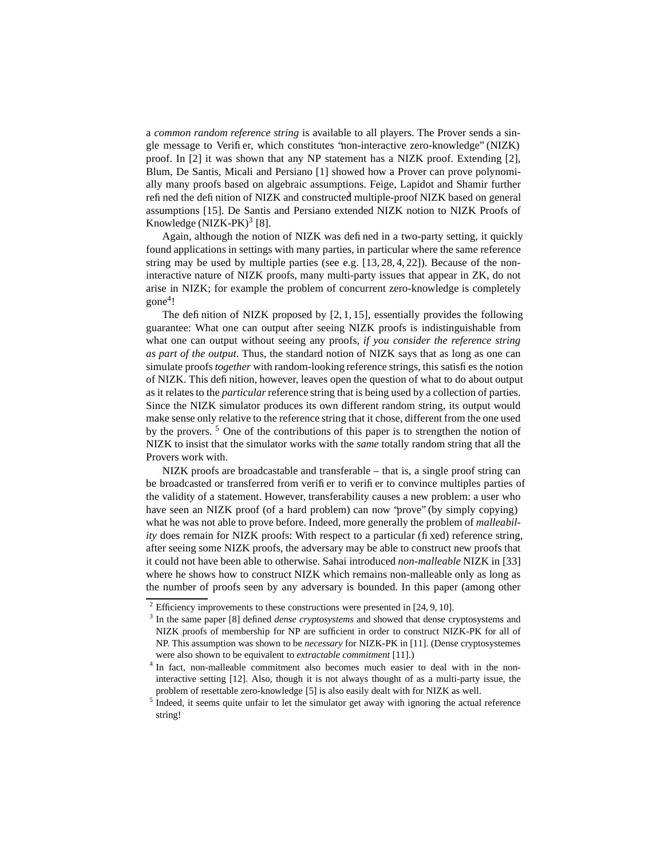a *common random reference string* is available to all players. The Prover sends a single message to Verifier, which constitutes "non-interactive zero-knowledge" (NIZK) proof. In [2] it was shown that any NP statement has a NIZK proof. Extending [2], Blum, De Santis, Micali and Persiano [1] showed how a Prover can prove polynomially many proofs based on algebraic assumptions. Feige, Lapidot and Shamir further refined the definition of NIZK and constructed multiple-proof NIZK based on general assumptions [15]. De Santis and Persiano extended NIZK notion to NIZK Proofs of Knowledge  $(NIZK-PK)^3$  [8].

Again, although the notion of NIZK was defined in a two-party setting, it quickly found applications in settings with many parties, in particular where the same reference string may be used by multiple parties (see e.g. [13, 28, 4, 22]). Because of the noninteractive nature of NIZK proofs, many multi-party issues that appear in ZK, do not arise in NIZK; for example the problem of concurrent zero-knowledge is completely gone<sup>4</sup>!

The definition of NIZK proposed by [2, 1, 15], essentially provides the following guarantee: What one can output after seeing NIZK proofs is indistinguishable from what one can output without seeing any proofs, *if you consider the reference string as part of the output*. Thus, the standard notion of NIZK says that as long as one can simulate proofs *together* with random-looking reference strings, this satisfies the notion of NIZK. This definition, however, leaves open the question of what to do about output as it relates to the *particular* reference string that is being used by a collection of parties. Since the NIZK simulator produces its own different random string, its output would make sense only relative to the reference string that it chose, different from the one used by the provers.<sup>5</sup> One of the contributions of this paper is to strengthen the notion of NIZK to insist that the simulator works with the *same* totally random string that all the Provers work with.

NIZK proofs are broadcastable and transferable – that is, a single proof string can be broadcasted or transferred from verifier to verifier to convince multiples parties of the validity of a statement. However, transferability causes a new problem: a user who have seen an NIZK proof (of a hard problem) can now "prove" (by simply copying) what he was not able to prove before. Indeed, more generally the problem of *malleability* does remain for NIZK proofs: With respect to a particular (fixed) reference string, after seeing some NIZK proofs, the adversary may be able to construct new proofs that it could not have been able to otherwise. Sahai introduced *non-malleable* NIZK in [33] where he shows how to construct NIZK which remains non-malleable only as long as the number of proofs seen by any adversary is bounded. In this paper (among other

 $2$  Efficiency improvements to these constructions were presented in [24, 9, 10].

<sup>3</sup> In the same paper [8] defined *dense cryptosystems* and showed that dense cryptosystems and NIZK proofs of membership for NP are sufficient in order to construct NIZK-PK for all of NP. This assumption was shown to be *necessary* for NIZK-PK in [11]. (Dense cryptosystemes were also shown to be equivalent to *extractable commitment* [11].)

<sup>&</sup>lt;sup>4</sup> In fact, non-malleable commitment also becomes much easier to deal with in the noninteractive setting [12]. Also, though it is not always thought of as a multi-party issue, the problem of resettable zero-knowledge [5] is also easily dealt with for NIZK as well.

<sup>&</sup>lt;sup>5</sup> Indeed, it seems quite unfair to let the simulator get away with ignoring the actual reference string!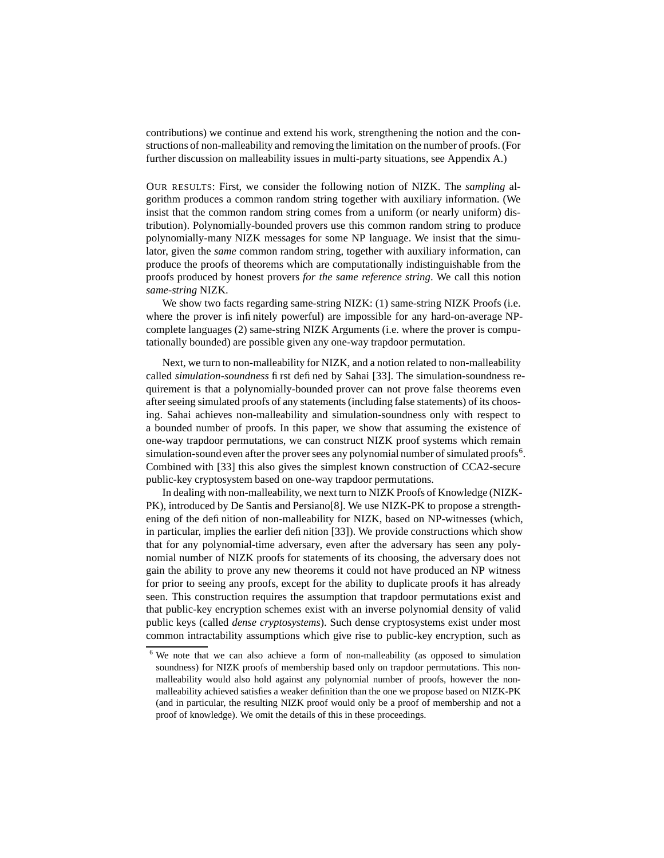contributions) we continue and extend his work, strengthening the notion and the constructions of non-malleability and removing the limitation on the number of proofs. (For further discussion on malleability issues in multi-party situations, see Appendix A.)

OUR RESULTS: First, we consider the following notion of NIZK. The *sampling* algorithm produces a common random string together with auxiliary information. (We insist that the common random string comes from a uniform (or nearly uniform) distribution). Polynomially-bounded provers use this common random string to produce polynomially-many NIZK messages for some NP language. We insist that the simulator, given the *same* common random string, together with auxiliary information, can produce the proofs of theorems which are computationally indistinguishable from the proofs produced by honest provers *for the same reference string*. We call this notion *same-string* NIZK.

We show two facts regarding same-string NIZK: (1) same-string NIZK Proofs (i.e. where the prover is infinitely powerful) are impossible for any hard-on-average NPcomplete languages (2) same-string NIZK Arguments (i.e. where the prover is computationally bounded) are possible given any one-way trapdoor permutation.

Next, we turn to non-malleability for NIZK, and a notion related to non-malleability called *simulation-soundness* first defined by Sahai [33]. The simulation-soundness requirement is that a polynomially-bounded prover can not prove false theorems even after seeing simulated proofs of any statements (including false statements) of its choosing. Sahai achieves non-malleability and simulation-soundness only with respect to a bounded number of proofs. In this paper, we show that assuming the existence of one-way trapdoor permutations, we can construct NIZK proof systems which remain simulation-sound even after the prover sees any polynomial number of simulated proofs<sup>6</sup>. Combined with [33] this also gives the simplest known construction of CCA2-secure public-key cryptosystem based on one-way trapdoor permutations.

In dealing with non-malleability, we next turn to NIZK Proofs of Knowledge (NIZK-PK), introduced by De Santis and Persiano[8]. We use NIZK-PK to propose a strengthening of the definition of non-malleability for NIZK, based on NP-witnesses (which, in particular, implies the earlier definition [33]). We provide constructions which show that for any polynomial-time adversary, even after the adversary has seen any polynomial number of NIZK proofs for statements of its choosing, the adversary does not gain the ability to prove any new theorems it could not have produced an NP witness for prior to seeing any proofs, except for the ability to duplicate proofs it has already seen. This construction requires the assumption that trapdoor permutations exist and that public-key encryption schemes exist with an inverse polynomial density of valid public keys (called *dense cryptosystems*). Such dense cryptosystems exist under most common intractability assumptions which give rise to public-key encryption, such as

<sup>&</sup>lt;sup>6</sup> We note that we can also achieve a form of non-malleability (as opposed to simulation soundness) for NIZK proofs of membership based only on trapdoor permutations. This nonmalleability would also hold against any polynomial number of proofs, however the nonmalleability achieved satisfies a weaker definition than the one we propose based on NIZK-PK (and in particular, the resulting NIZK proof would only be a proof of membership and not a proof of knowledge). We omit the details of this in these proceedings.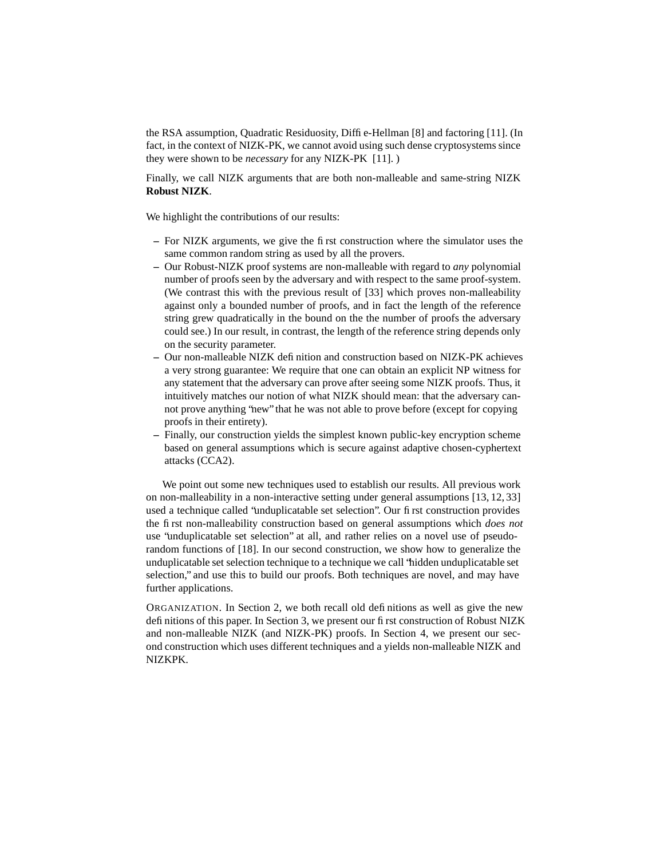the RSA assumption, Quadratic Residuosity, Diffie-Hellman [8] and factoring [11]. (In fact, in the context of NIZK-PK, we cannot avoid using such dense cryptosystems since they were shown to be *necessary* for any NIZK-PK [11]. )

Finally, we call NIZK arguments that are both non-malleable and same-string NIZK **Robust NIZK**.

We highlight the contributions of our results:

- **–** For NIZK arguments, we give the first construction where the simulator uses the same common random string as used by all the provers.
- **–** Our Robust-NIZK proof systems are non-malleable with regard to *any* polynomial number of proofs seen by the adversary and with respect to the same proof-system. (We contrast this with the previous result of [33] which proves non-malleability against only a bounded number of proofs, and in fact the length of the reference string grew quadratically in the bound on the the number of proofs the adversary could see.) In our result, in contrast, the length of the reference string depends only on the security parameter.
- **–** Our non-malleable NIZK definition and construction based on NIZK-PK achieves a very strong guarantee: We require that one can obtain an explicit NP witness for any statement that the adversary can prove after seeing some NIZK proofs. Thus, it intuitively matches our notion of what NIZK should mean: that the adversary cannot prove anything "new" that he was not able to prove before (except for copying proofs in their entirety).
- **–** Finally, our construction yields the simplest known public-key encryption scheme based on general assumptions which is secure against adaptive chosen-cyphertext attacks (CCA2).

We point out some new techniques used to establish our results. All previous work on non-malleability in a non-interactive setting under general assumptions [13, 12, 33] used a technique called "unduplicatable set selection". Our first construction provides the first non-malleability construction based on general assumptions which *does not* use "unduplicatable set selection" at all, and rather relies on a novel use of pseudorandom functions of [18]. In our second construction, we show how to generalize the unduplicatable set selection technique to a technique we call "hidden unduplicatable set selection," and use this to build our proofs. Both techniques are novel, and may have further applications.

ORGANIZATION. In Section 2, we both recall old definitions as well as give the new definitions of this paper. In Section 3, we present our first construction of Robust NIZK and non-malleable NIZK (and NIZK-PK) proofs. In Section 4, we present our second construction which uses different techniques and a yields non-malleable NIZK and NIZKPK.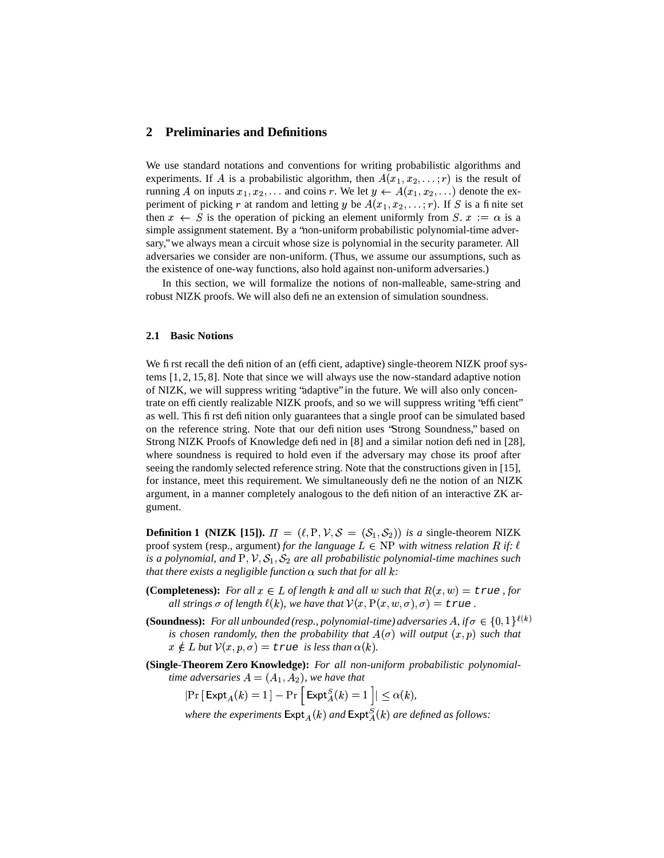### **2 Preliminaries and Definitions**

We use standard notations and conventions for writing probabilistic algorithms and experiments. If A is a probabilistic algorithm, then  $A(x_1, x_2, \ldots; r)$  is the result of running A on inputs  $x_1, x_2, \ldots$  and coins r. We let  $y \leftarrow A(x_1, x_2, \ldots)$  denote the experiment of picking r at random and letting y be  $A(x_1, x_2, \ldots; r)$ . If S is a finite set then  $x \leftarrow S$  is the operation of picking an element uniformly from S.  $x := \alpha$  is a simple assignment statement. By a "non-uniform probabilistic polynomial-time adversary," we always mean a circuit whose size is polynomial in the security parameter. All adversaries we consider are non-uniform. (Thus, we assume our assumptions, such as the existence of one-way functions, also hold against non-uniform adversaries.)

In this section, we will formalize the notions of non-malleable, same-string and robust NIZK proofs. We will also define an extension of simulation soundness.

#### **2.1 Basic Notions**

We first recall the definition of an (efficient, adaptive) single-theorem NIZK proof systems [1, 2, 15, 8]. Note that since we will always use the now-standard adaptive notion of NIZK, we will suppress writing "adaptive" in the future. We will also only concentrate on efficiently realizable NIZK proofs, and so we will suppress writing "efficient" as well. This first definition only guarantees that a single proof can be simulated based on the reference string. Note that our definition uses "Strong Soundness," based on Strong NIZK Proofs of Knowledge defined in [8] and a similar notion defined in [28], where soundness is required to hold even if the adversary may chose its proof after seeing the randomly selected reference string. Note that the constructions given in [15], for instance, meet this requirement. We simultaneously define the notion of an NIZK argument, in a manner completely analogous to the definition of an interactive ZK argument.

**Definition 1** (NIZK [15]).  $\Pi = (\ell, P, V, S = (S_1, S_2))$  is a single-theorem NIZK proof system (resp., argument) *for the language*  $L \in NP$  *with witness relation* R *if:*  $\ell$ is a polynomial, and  $P$ ,  $V$ ,  $S_1$ ,  $S_2$  are all probabilistic polynomial-time machines such *that there exists a negligible function*  $\alpha$  *such that for all k:* 

- **(Completeness):** For all  $x \in L$  of length k and all w such that  $R(x, w) = \text{true}$  , for  $all$  *strings*  $\sigma$  *of length*  $\ell(k)$ *, we have that*  $\mathcal{V}(x,\mathrm{P}(x,w,\sigma),\sigma) = \texttt{true}$  .
- **(Soundness):** *For all unbounded (resp., polynomial-time) adversaries*  $A$ , *if*  $\sigma \in \{0,1\}^{\ell(k)}$ *is* chosen randomly, then the probability that  $A(\sigma)$  will output  $(x, p)$  such that  $x \notin L$  but  $\mathcal{V}(x, p, \sigma) =$  true *is less than*  $\alpha(k)$ .
- **(Single-Theorem Zero Knowledge):** *For all non-uniform probabilistic polynomialtime adversaries*  $A = (A_1, A_2)$ , we have that

$$
|\Pr\left[\text{Expt}_A(k) = 1\right] - \Pr\left[\text{Expt}_A^S(k) = 1\right]| \le \alpha(k),
$$

where the experiments  $\mathsf{Expt}_A(k)$  and  $\mathsf{Expt}_A^S(k)$  are defined as follows: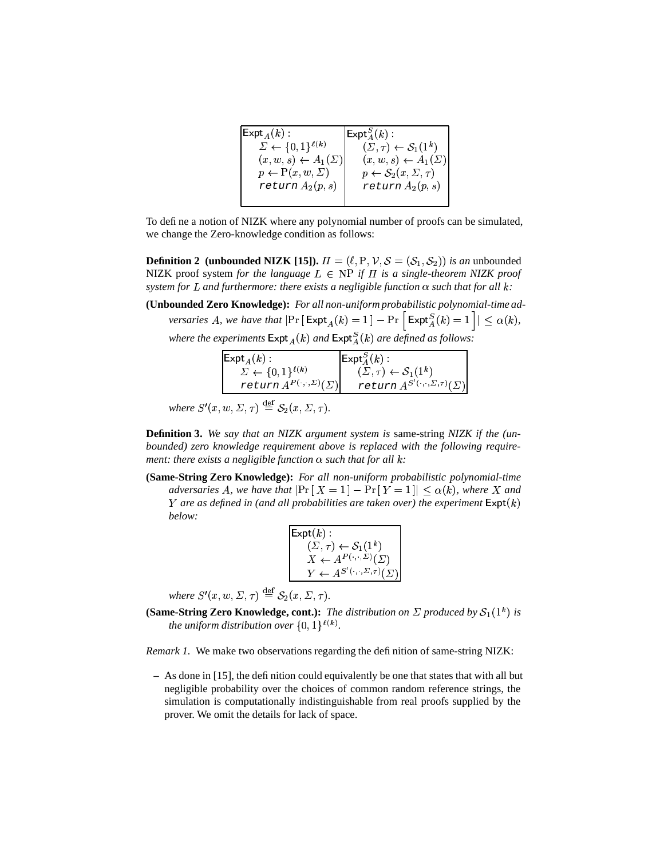| $\mathsf{Expt}_A(k)$ :                | $\mathsf{Expt}_A^S(k):$                        |  |
|---------------------------------------|------------------------------------------------|--|
| $\Sigma \leftarrow \{0,1\}^{\ell(k)}$ | $(\Sigma, \tau) \leftarrow \mathcal{S}_1(1^k)$ |  |
| $(x, w, s) \leftarrow A_1(\Sigma)$    | $(x, w, s) \leftarrow A_1(\Sigma)$             |  |
| $p \leftarrow P(x, w, \Sigma)$        | $p \leftarrow \mathcal{S}_2(x, \Sigma, \tau)$  |  |
| return $A_2(p,s)$                     | return $A_2(p,s)$                              |  |
|                                       |                                                |  |

To define a notion of NIZK where any polynomial number of proofs can be simulated, we change the Zero-knowledge condition as follows:

**Definition 2** (unbounded NIZK [15]).  $\Pi = (\ell, P, V, S = (S_1, S_2))$  is an unbounded NIZK proof system *for the language*  $L \in NP$  *if*  $\Pi$  *is a single-theorem NIZK proof* system for L and furthermore: there exists a negligible function  $\alpha$  such that for all k:

**(Unbounded Zero Knowledge):** *For all non-uniform probabilistic polynomial-time adversaries* A, we have that  $\left| \Pr \left[ \text{Expt}_A(k) = 1 \right] - \Pr \left[ \text{Expt}_A^S(k) = 1 \right] \right| \leq \alpha(k)$ , where the experiments  $\mathsf{Expt}_{A}(k)$  and  $\mathsf{Expt}_{A}^{S}(k)$  are defined as follows:

> $\mathsf{Ext}_{A}(k):$  $\begin{array}{l} \Sigma \leftarrow \{0,1\}^{\ell(k)} \ \text{return } A^{P(\cdot, \cdot, \Sigma)}(\Sigma) \Big| \quad \ \ \, \text{if} \quad \ \ \, \end{array}$  $\mathsf{Ext}^2(k)$ :  $(\Sigma,\tau)\leftarrow S_1(1^k)$  | return  $A^{S'(\cdot, \cdot, \Sigma,\tau)}(\varSigma)$

where  $S'(x, w, \Sigma, \tau) \stackrel{\text{def}}{=} \mathcal{S}_2(x, \Sigma, \tau)$ .

**Definition 3.** *We say that an NIZK argument system is* same-string *NIZK if the (unbounded) zero knowledge requirement above is replaced with the following requirement: there exists a negligible function*  $\alpha$  *such that for all k:* 

**(Same-String Zero Knowledge):** *For all non-uniform probabilistic polynomial-time adversaries* A, we have that  $\left| \Pr \left[ X = 1 \right] - \Pr \left[ Y = 1 \right] \right| \leq \alpha(k)$ , where X and *Y* are as defined in (and all probabilities are taken over) the experiment  $\textsf{Expt}(k)$ *below:*

| $\mathsf{Expt}(k):$                                       |  |
|-----------------------------------------------------------|--|
| $(\varSigma, \tau) \leftarrow \mathcal{S}_1(1^k)$         |  |
| $X \leftarrow A^{P(\cdot, \cdot, \Sigma)}(\Sigma)$        |  |
| $Y \leftarrow A^{S'(\cdot, \cdot, \Sigma, \tau)}(\Sigma)$ |  |

where  $S'(x, w, \Sigma, \tau) \stackrel{\text{def}}{=} \mathcal{S}_2(x, \Sigma, \tau)$ .

**(Same-String Zero Knowledge, cont.):** The distribution on  $\Sigma$  produced by  $S_1(1^k)$  is *the uniform distribution over*  $\{0,1\}^{\ell(k)}$ .

*Remark 1.* We make two observations regarding the definition of same-string NIZK:

**–** As done in [15], the definition could equivalently be one that states that with all but negligible probability over the choices of common random reference strings, the simulation is computationally indistinguishable from real proofs supplied by the prover. We omit the details for lack of space.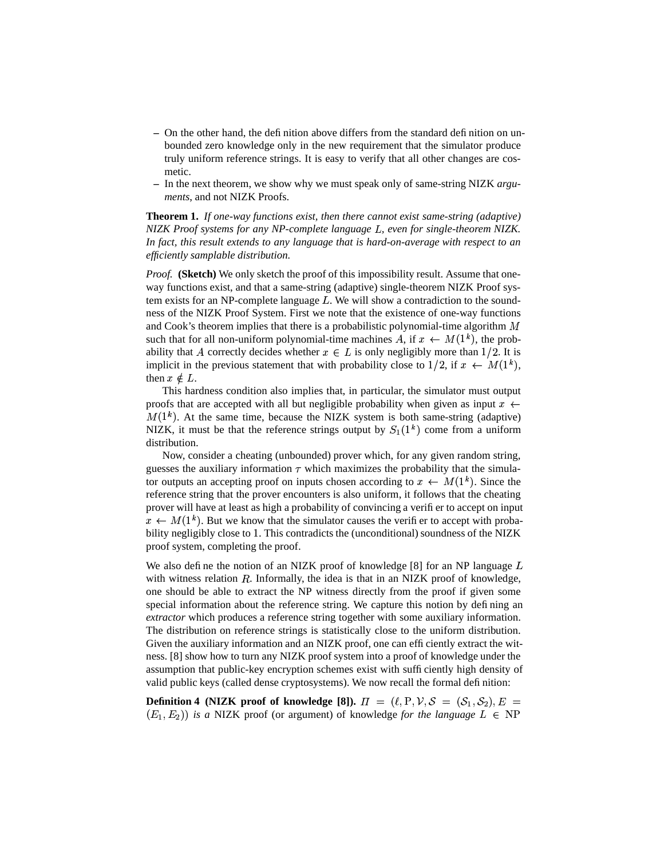- **–** On the other hand, the definition above differs from the standard definition on unbounded zero knowledge only in the new requirement that the simulator produce truly uniform reference strings. It is easy to verify that all other changes are cosmetic.
- **–** In the next theorem, we show why we must speak only of same-string NIZK *arguments*, and not NIZK Proofs.

**Theorem 1.** *If one-way functions exist, then there cannot exist same-string (adaptive) NIZK Proof systems for any NP-complete language* '*, even for single-theorem NIZK. In fact, this result extends to any language that is hard-on-average with respect to an efficiently samplable distribution.*

*Proof.* **(Sketch)** We only sketch the proof of this impossibility result. Assume that oneway functions exist, and that a same-string (adaptive) single-theorem NIZK Proof system exists for an NP-complete language  $L$ . We will show a contradiction to the soundness of the NIZK Proof System. First we note that the existence of one-way functions and Cook's theorem implies that there is a probabilistic polynomial-time algorithm  $M$ such that for all non-uniform polynomial-time machines A, if  $x \leftarrow M(1^k)$ , the probability that A correctly decides whether  $x \in L$  is only negligibly more than 1/2. It is implicit in the previous statement that with probability close to  $1/2$ , if  $x \leftarrow M(1^k)$ , then  $x \notin L$ .

This hardness condition also implies that, in particular, the simulator must output proofs that are accepted with all but negligible probability when given as input  $x \leftarrow$  $M(1<sup>k</sup>)$ . At the same time, because the NIZK system is both same-string (adaptive) NIZK, it must be that the reference strings output by  $S_1(1^k)$  come from a uniform distribution.

Now, consider a cheating (unbounded) prover which, for any given random string, guesses the auxiliary information  $\tau$  which maximizes the probability that the simulator outputs an accepting proof on inputs chosen according to  $x \leftarrow M(1^k)$ . Since the reference string that the prover encounters is also uniform, it follows that the cheating prover will have at least as high a probability of convincing a verifier to accept on input  $x \leftarrow M(1^k)$ . But we know that the simulator causes the verifier to accept with probability negligibly close to 1. This contradicts the (unconditional) soundness of the NIZK proof system, completing the proof.

We also define the notion of an NIZK proof of knowledge  $[8]$  for an NP language  $L$ with witness relation  $R$ . Informally, the idea is that in an NIZK proof of knowledge, one should be able to extract the NP witness directly from the proof if given some special information about the reference string. We capture this notion by defining an *extractor* which produces a reference string together with some auxiliary information. The distribution on reference strings is statistically close to the uniform distribution. Given the auxiliary information and an NIZK proof, one can efficiently extract the witness. [8] show how to turn any NIZK proof system into a proof of knowledge under the assumption that public-key encryption schemes exist with sufficiently high density of valid public keys (called dense cryptosystems). We now recall the formal definition:

**Definition 4** (NIZK proof of knowledge [8]).  $\Pi = (\ell, P, V, S = (S_1, S_2), E =$  $(E_1, E_2)$ ) is a NIZK proof (or argument) of knowledge *for the language*  $L \in NP$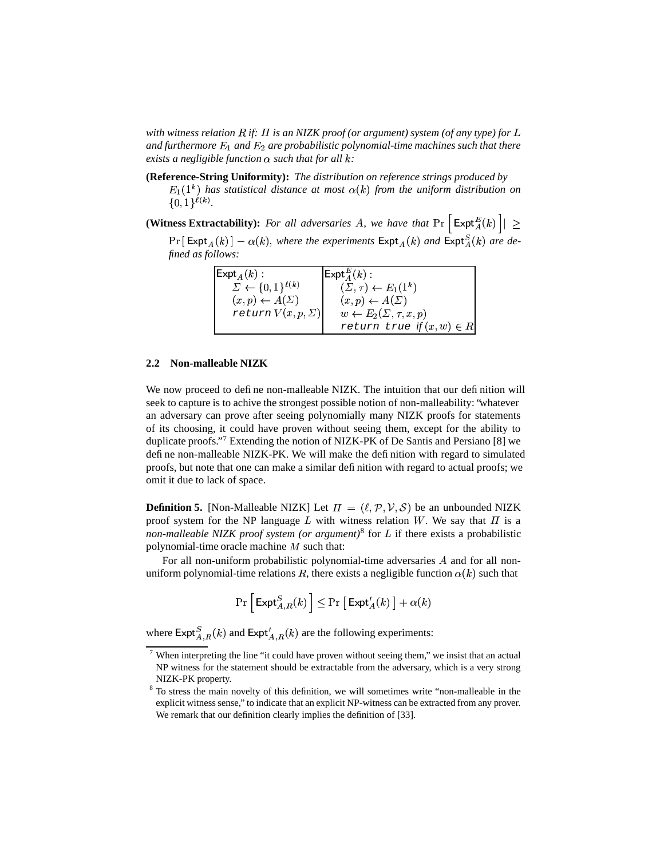*with witness relation*  $R$  *if:*  $\Pi$  *is an NIZK proof* (*or argument*) *system* (*of any type*) *for*  $L$ and furthermore  $E_1$  and  $E_2$  are probabilistic polynomial-time machines such that there *exists* a negligible function  $\alpha$  such that for all k:

**(Reference-String Uniformity):** *The distribution on reference strings produced by*

 $E_1(1^k)$  has statistical distance at most  $\alpha(k)$  from the uniform distribution on  $\{0,1\}^{\ell(k)}$ .

**(Witness Extractability):** For all adversaries A, we have that  $\Pr |\mathsf{Expt}_A^L(k)| \geq$ 

 $\Pr[\text{Expt}_{A}(k)] - \alpha(k)$ , where the experiments  $\text{Expt}_{A}(k)$  and  $\text{Expt}_{A}^{S}(k)$  are de*fined as follows:*

| $\mathsf{Expt}_A(k):$                 | $\mathsf{Expt}_A^E(k):$                |  |
|---------------------------------------|----------------------------------------|--|
| $\Sigma \leftarrow \{0,1\}^{\ell(k)}$ | $(\Sigma, \tau) \leftarrow E_1(1^k)$   |  |
| $(x,p) \leftarrow A(\Sigma)$          | $(x, p) \leftarrow A(\Sigma)$          |  |
| return $V(x, p, \Sigma)$              | $w \leftarrow E_2(\Sigma, \tau, x, p)$ |  |
|                                       | return true if $(x, w) \in R$          |  |

### **2.2 Non-malleable NIZK**

We now proceed to define non-malleable NIZK. The intuition that our definition will seek to capture is to achive the strongest possible notion of non-malleability: "whatever an adversary can prove after seeing polynomially many NIZK proofs for statements of its choosing, it could have proven without seeing them, except for the ability to duplicate proofs." <sup>7</sup> Extending the notion of NIZK-PK of De Santis and Persiano [8] we define non-malleable NIZK-PK. We will make the definition with regard to simulated proofs, but note that one can make a similar definition with regard to actual proofs; we omit it due to lack of space.

**Definition 5.** [Non-Malleable NIZK] Let  $\Pi = (\ell, \mathcal{P}, \mathcal{V}, \mathcal{S})$  be an unbounded NIZK proof system for the NP language L with witness relation W. We say that  $\Pi$  is a *non-malleable NIZK proof system (or argument)*<sup>8</sup> for *L* if there exists a probabilistic polynomial-time oracle machine  $M$  such that:

For all non-uniform probabilistic polynomial-time adversaries  $A$  and for all nonuniform polynomial-time relations  $R$ , there exists a negligible function  $\alpha(k)$  such that

$$
\Pr\Big[\mathop{\mathtt{Expt}}\nolimits^S_{A,R}(k)\Big]\leq\Pr\big[\mathop{\mathtt{Expt}}\nolimits'_A(k)\big]+\alpha(k)
$$

where  $\textsf{Expt}_{A,B}^S(k)$  and  $\textsf{Expt}_{A,B}^r(k)$  are the following experiments:

<sup>7</sup> When interpreting the line "it could have proven without seeing them," we insist that an actual NP witness for the statement should be extractable from the adversary, which is a very strong NIZK-PK property.

<sup>&</sup>lt;sup>8</sup> To stress the main novelty of this definition, we will sometimes write "non-malleable in the explicit witness sense," to indicate that an explicit NP-witness can be extracted from any prover. We remark that our definition clearly implies the definition of [33].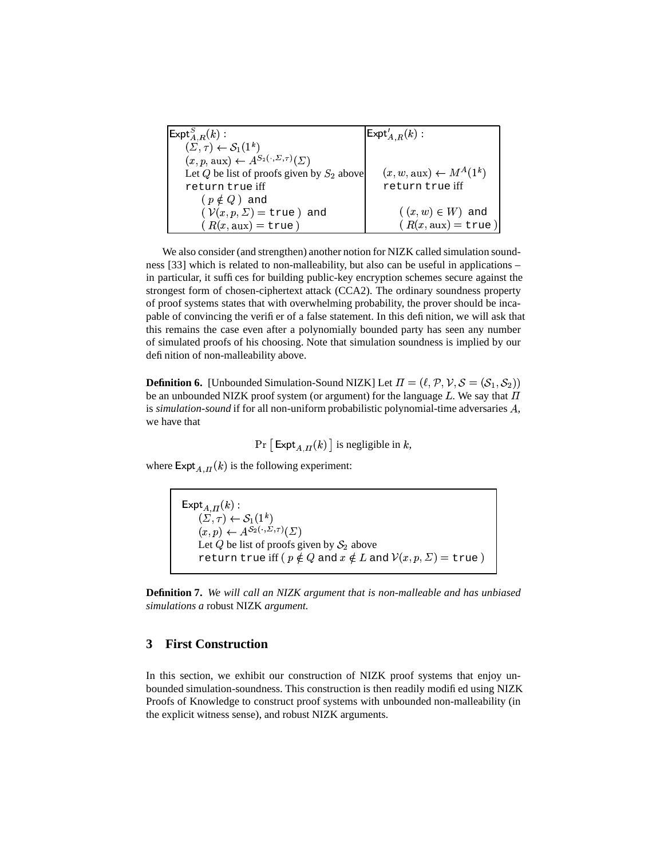| $ \mathsf{Expt}_{A.R}^S(k):$                                  | $\left \mathsf{Expt}'_{A,R}(k)\right $ : |
|---------------------------------------------------------------|------------------------------------------|
| $(\Sigma, \tau) \leftarrow \mathcal{S}_1(1^k)$                |                                          |
| $(x, p, aux) \leftarrow A^{S_2(\cdot, \Sigma, \tau)}(\Sigma)$ |                                          |
| Let $Q$ be list of proofs given by $S_2$ above                | $(x, w, aux) \leftarrow M^{A}(1^{k})$    |
| return true iff                                               | return true iff                          |
| $(p \notin Q)$ and                                            |                                          |
| $(V(x, p, \Sigma) = \text{true})$ and                         | $((x, w) \in W)$ and                     |
| $R(x, aux) = true$ )                                          | $(R(x, aux) = true)$                     |

We also consider (and strengthen) another notion for NIZK called simulation soundness [33] which is related to non-malleability, but also can be useful in applications – in particular, it suffices for building public-key encryption schemes secure against the strongest form of chosen-ciphertext attack (CCA2). The ordinary soundness property of proof systems states that with overwhelming probability, the prover should be incapable of convincing the verifier of a false statement. In this definition, we will ask that this remains the case even after a polynomially bounded party has seen any number of simulated proofs of his choosing. Note that simulation soundness is implied by our definition of non-malleability above.

**Definition 6.** [Unbounded Simulation-Sound NIZK] Let  $\Pi = (\ell, \mathcal{P}, \mathcal{V}, \mathcal{S} = (\mathcal{S}_1, \mathcal{S}_2))$ be an unbounded NIZK proof system (or argument) for the language  $L$ . We say that  $\Pi$ is *simulation-sound* if for all non-uniform probabilistic polynomial-time adversaries A, we have that

> $\Pr |\textsf{Expt}_{A,\Pi}(k)|$  is negligible in k,

where  $\textsf{Expt}_{A,\Pi}(k)$  is the following experiment:

**,我们的人们也不能会**。""我们的人们,我们的人们就会不会不会。""我们的人们,我们的人们就会不会不会。""我们的人们,我们也不会不会不会。""我们的人们,我们

 $\textsf{L}\textsf{X}\textsf{P}^{\textsf{L}}A,\Pi(\kappa)$  $(k)$ :  $(\Sigma, \tau) \leftarrow S_1(1^k)$  $(x, p) \leftarrow A^{S_2(\cdot, \Sigma, \tau)}(\Sigma)$ Let Q be list of proofs given by  $S_2$  above return true iff (  $p\notin Q$  and  $x\notin L$  and  $\mathcal{V}(x,p,\Sigma) = \mathtt{true}$  )  $\quad \vert$ 

**Definition 7.** *We will call an NIZK argument that is non-malleable and has unbiased simulations a* robust NIZK *argument.*

## **3 First Construction**

In this section, we exhibit our construction of NIZK proof systems that enjoy unbounded simulation-soundness. This construction is then readily modified using NIZK Proofs of Knowledge to construct proof systems with unbounded non-malleability (in the explicit witness sense), and robust NIZK arguments.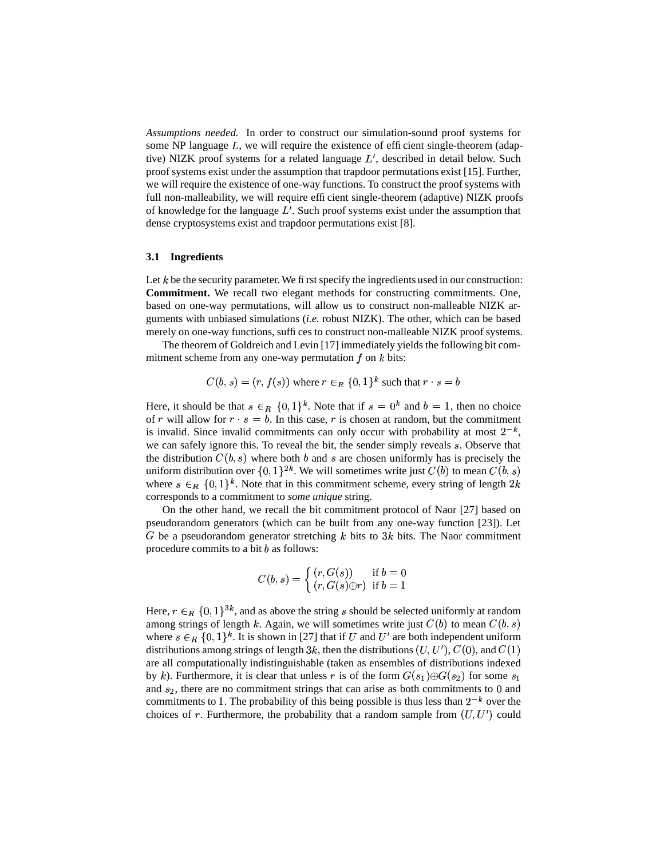*Assumptions needed.* In order to construct our simulation-sound proof systems for some NP language  $L$ , we will require the existence of efficient single-theorem (adaptive) NIZK proof systems for a related language  $L'$ , described in detail below. Such proof systems exist under the assumption that trapdoor permutations exist [15]. Further, we will require the existence of one-way functions. To construct the proof systems with full non-malleability, we will require efficient single-theorem (adaptive) NIZK proofs of knowledge for the language  $L'$ . Such proof systems exist under the assumption that dense cryptosystems exist and trapdoor permutations exist [8].

#### **3.1 Ingredients**

Let  $k$  be the security parameter. We first specify the ingredients used in our construction: **Commitment.** We recall two elegant methods for constructing commitments. One, based on one-way permutations, will allow us to construct non-malleable NIZK arguments with unbiased simulations (*i.e.* robust NIZK). The other, which can be based merely on one-way functions, suffices to construct non-malleable NIZK proof systems.

The theorem of Goldreich and Levin [17] immediately yields the following bit commitment scheme from any one-way permutation  $f$  on  $k$  bits:

$$
C(b, s) = (r, f(s))
$$
 where  $r \in_R \{0, 1\}^k$  such that  $r \cdot s = b$ 

Here, it should be that  $s \in_R \{0,1\}^k$ . Note that if  $s = 0^k$  and  $b = 1$ , then no choice of r will allow for  $r \cdot s = b$ . In this case, r is chosen at random, but the commitment is invalid. Since invalid commitments can only occur with probability at most  $2^{-k}$ , we can safely ignore this. To reveal the bit, the sender simply reveals  $s$ . Observe that the distribution  $C(b, s)$  where both b and s are chosen uniformly has is precisely the uniform distribution over  $\{0,1\}^{2k}$ . We will sometimes write just  $C(b)$  to mean  $C(b, s)$ where  $s \in_R \{0,1\}^k$ . Note that in this commitment scheme, every string of length  $2k$ corresponds to a commitment to *some unique* string.

On the other hand, we recall the bit commitment protocol of Naor [27] based on pseudorandom generators (which can be built from any one-way function [23]). Let G be a pseudorandom generator stretching k bits to 3k bits. The Naor commitment procedure commits to a bit  $b$  as follows:

$$
C(b,s)=\left\{\begin{matrix}(r,G(s))&\text{if }b=0\\(r,G(s)\oplus r)&\text{if }b=1\end{matrix}\right.
$$

Here,  $r \in_R \{0,1\}^{3k}$ , and as above the string s should be selected uniformly at random among strings of length k. Again, we will sometimes write just  $C(b)$  to mean  $C(b, s)$ where  $s \in_R \{0,1\}^k$ . It is shown in [27] that if U and U' are both independent uniform distributions among strings of length  $3k$ , then the distributions  $(U, U'), C(0)$ , and  $C(1)$ are all computationally indistinguishable (taken as ensembles of distributions indexed by k). Furthermore, it is clear that unless r is of the form  $G(s_1)\oplus G(s_2)$  for some  $s_1$ and  $s_2$ , there are no commitment strings that can arise as both commitments to 0 and commitments to 1. The probability of this being possible is thus less than  $2^{-k}$  over the choices of r. Furthermore, the probability that a random sample from  $(U, U')$  could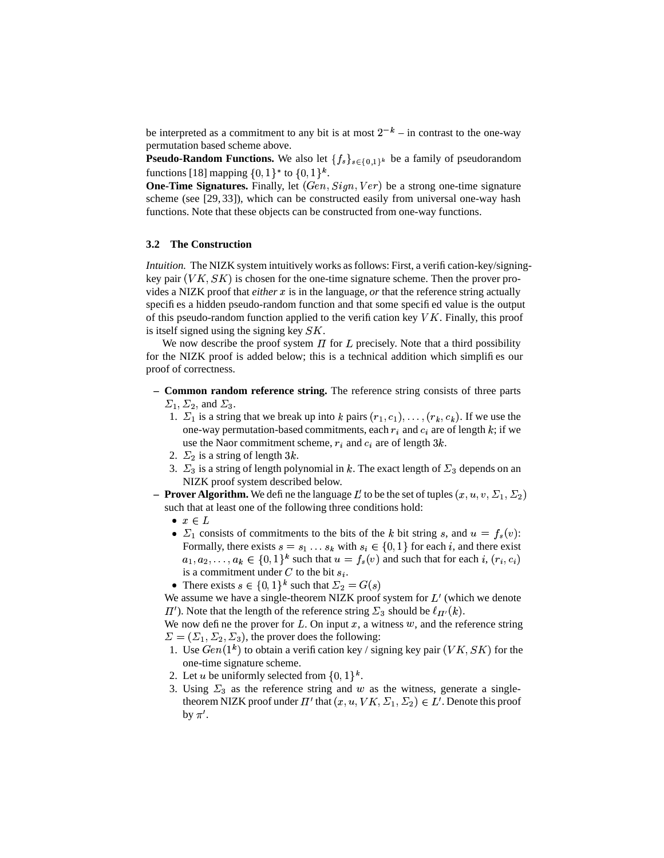be interpreted as a commitment to any bit is at most  $2^{-k}$  – in contrast to the one-way permutation based scheme above.

**Pseudo-Random Functions.** We also let  $\{f_s\}_{s\in\{0,1\}^k}$  be a family of pseudorandom functions [18] mapping  $\{0,1\}^*$  to  $\{0,1\}^k$ .

**One-Time Signatures.** Finally, let  $(Gen, Sign, Ver)$  be a strong one-time signature scheme (see [29, 33]), which can be constructed easily from universal one-way hash functions. Note that these objects can be constructed from one-way functions.

### **3.2 The Construction**

*Intuition.* The NIZK system intuitively works as follows: First, a verification-key/signingkey pair  $(VK, SK)$  is chosen for the one-time signature scheme. Then the prover provides a NIZK proof that  $\emph{either}$   $\emph{x}$  is in the language,  $\emph{or}$  that the reference string actually specifies a hidden pseudo-random function and that some specified value is the output of this pseudo-random function applied to the verification key  $VK$ . Finally, this proof is itself signed using the signing key  $SK$ .

We now describe the proof system  $\Pi$  for  $L$  precisely. Note that a third possibility for the NIZK proof is added below; this is a technical addition which simplifies our proof of correctness.

- **– Common random reference string.** The reference string consists of three parts  $\Sigma_1, \Sigma_2$ , and  $\Sigma_3$ .
	- 1.  $\Sigma_1$  is a string that we break up into k pairs  $(r_1, c_1), \ldots, (r_k, c_k)$ . If we use the one-way permutation-based commitments, each  $r_i$  and  $c_i$  are of length k; if we use the Naor commitment scheme,  $r_i$  and  $c_i$  are of length  $3k$ .
	- 2.  $\Sigma_2$  is a string of length  $3k$ .
	- 3.  $\Sigma_3$  is a string of length polynomial in k. The exact length of  $\Sigma_3$  depends on an NIZK proof system described below.
- $-$  **Prover Algorithm.** We define the language  $L'$  to be the set of tuples  $(x, u, v, \Sigma_1, \Sigma_2)$ such that at least one of the following three conditions hold:
	- $\bullet \ \ x \in L$
	- $\Sigma_1$  consists of commitments to the bits of the k bit string s, and  $u = f_s(v)$ : Formally, there exists  $s = s_1 \dots s_k$  with  $s_i \in \{0, 1\}$  for each i, and there exist  $a_1, a_2, \ldots, a_k \in \{0,1\}^k$  such that  $u = f_s(v)$  and such that for each  $i, (r_i, c_i)$ is a commitment under C to the bit  $s_i$ .
	- There exists  $s \in \{0,1\}^k$  such that  $\Sigma_2 = G(s)$

We assume we have a single-theorem NIZK proof system for  $L'$  (which we denote  $\Pi'$ ). Note that the length of the reference string  $\Sigma_3$  should be  $\ell_{\Pi'}(k)$ .

We now define the prover for  $L$ . On input  $x$ , a witness  $w$ , and the reference string  $\Sigma = (\Sigma_1, \Sigma_2, \Sigma_3)$ , the prover does the following:

- 1. Use  $Gen(1^k)$  to obtain a verification key / signing key pair  $(VK, SK)$  for the one-time signature scheme.
- 2. Let *u* be uniformly selected from  $\{0,1\}^k$ .
- 3. Using  $\Sigma_3$  as the reference string and w as the witness, generate a singletheorem NIZK proof under  $\Pi'$  that  $(x, u, VK, \Sigma_1, \Sigma_2) \in L'$ . Denote this proof by  $\pi'$ .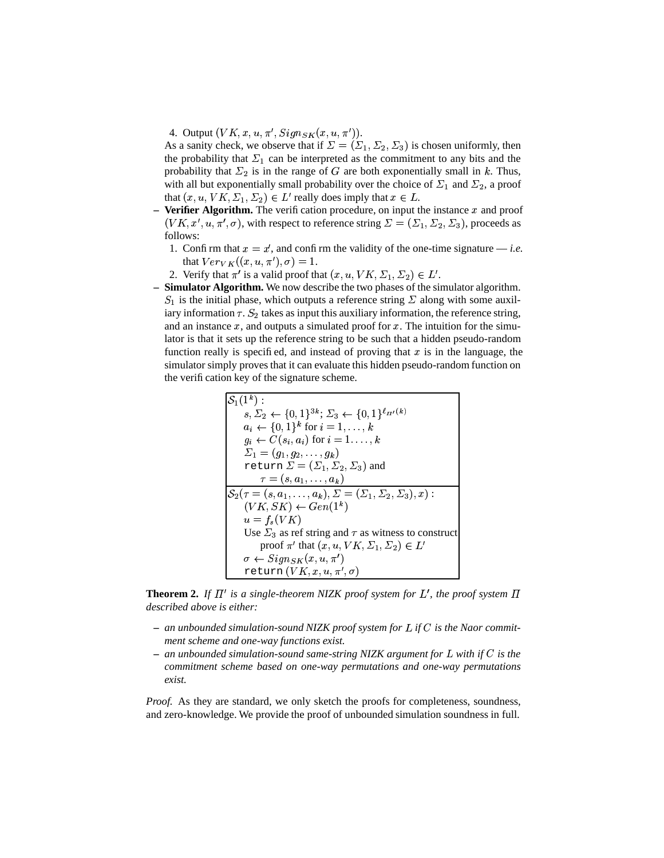4. Output  $(VK, x, u, \pi', Sign_{SK}(x, u, \pi')).$ 

As a sanity check, we observe that if  $\Sigma = (\Sigma_1, \Sigma_2, \Sigma_3)$  is chosen uniformly, then the probability that  $\Sigma_1$  can be interpreted as the commitment to any bits and the probability that  $\Sigma_2$  is in the range of G are both exponentially small in k. Thus, with all but exponentially small probability over the choice of  $\Sigma_1$  and  $\Sigma_2$ , a proof that  $(x, u, VK, \Sigma_1, \Sigma_2) \in L'$  really does imply that  $x \in L$ .

- $\blacktriangleright$  **Verifier Algorithm.** The verification procedure, on input the instance x and proof  $(VK, x', u, \pi', \sigma)$ , with respect to reference string  $\Sigma = (\Sigma_1, \Sigma_2, \Sigma_3)$ , proceeds as follows:
	- 1. Confirm that  $x = x'$ , and confirm the validity of the one-time signature *i.e.* that  $Ver_{VK}((x, u, \pi'), \sigma) = 1$ .
	- 2. Verify that  $\pi'$  is a valid proof that  $(x, u, VK, \Sigma_1, \Sigma_2) \in L'.$
- **– Simulator Algorithm.** We now describe the two phases of the simulator algorithm.  $S_1$  is the initial phase, which outputs a reference string  $\Sigma$  along with some auxiliary information  $\tau$ .  $S_2$  takes as input this auxiliary information, the reference string, and an instance  $x$ , and outputs a simulated proof for  $x$ . The intuition for the simulator is that it sets up the reference string to be such that a hidden pseudo-random function really is specified, and instead of proving that  $x$  is in the language, the simulator simply proves that it can evaluate this hidden pseudo-random function on the verification key of the signature scheme.

$$
\begin{aligned}\nS_1(1^k): \\
s, \Sigma_2 &\leftarrow \{0, 1\}^{3k}; \Sigma_3 \leftarrow \{0, 1\}^{\ell_{H'}(k)} \\
a_i &\leftarrow \{0, 1\}^k \text{ for } i = 1, ..., k \\
g_i &\leftarrow C(s_i, a_i) \text{ for } i = 1, ..., k \\
\Sigma_1 = (g_1, g_2, ..., g_k) \\
\text{return } \Sigma = (\Sigma_1, \Sigma_2, \Sigma_3) \text{ and} \\
\tau = (s, a_1, ..., a_k), \\
S_2(\tau = (s, a_1, ..., a_k), \Sigma = (\Sigma_1, \Sigma_2, \Sigma_3), x): \\
(VK, SK) &\leftarrow Gen(1^k) \\
u = f_s(VK) \\
\text{Use } \Sigma_3 \text{ as ref string and } \tau \text{ as witness to construct} \\
\text{proof } \pi' \text{ that } (x, u, VK, \Sigma_1, \Sigma_2) \in L' \\
\sigma &\leftarrow Sign_{SK}(x, u, \pi') \\
\text{return } (VK, x, u, \pi', \sigma)\n\end{aligned}
$$

**Theorem 2.** If  $\Pi'$  is a single-theorem NIZK proof system for  $L'$ , the proof system  $\Pi$ *described above is either:*

- **–** *an unbounded simulation-sound NIZK proof system for* ' *if is the Naor commitment scheme and one-way functions exist.*
- **–** *an unbounded simulation-sound same-string NIZK argument for* ' *with if is the commitment scheme based on one-way permutations and one-way permutations exist.*

*Proof.* As they are standard, we only sketch the proofs for completeness, soundness, and zero-knowledge. We provide the proof of unbounded simulation soundness in full.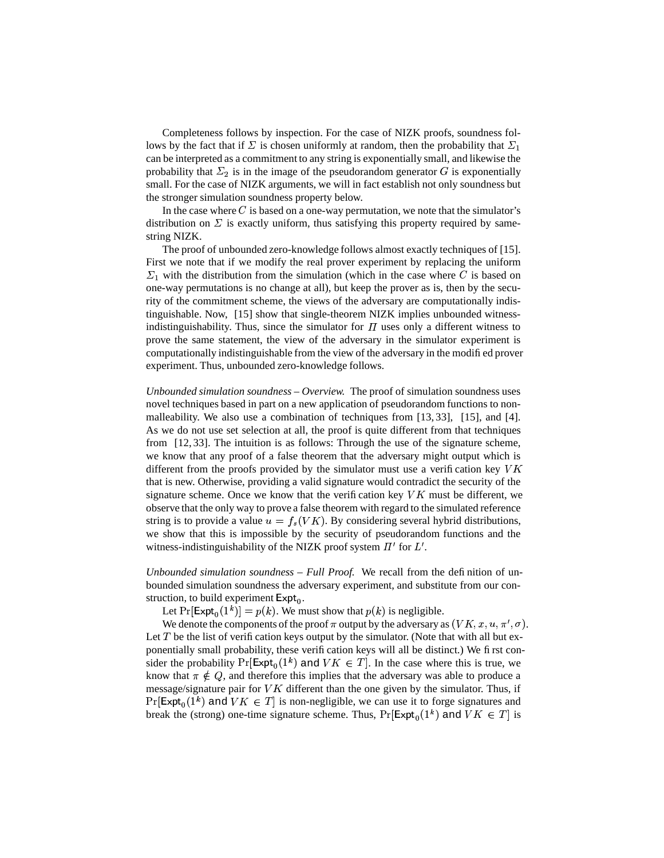Completeness follows by inspection. For the case of NIZK proofs, soundness follows by the fact that if  $\Sigma$  is chosen uniformly at random, then the probability that  $\Sigma_1$ can be interpreted as a commitment to any string is exponentially small, and likewise the probability that  $\Sigma_2$  is in the image of the pseudorandom generator G is exponentially small. For the case of NIZK arguments, we will in fact establish not only soundness but the stronger simulation soundness property below.

In the case where  $C$  is based on a one-way permutation, we note that the simulator's distribution on  $\Sigma$  is exactly uniform, thus satisfying this property required by samestring NIZK.

The proof of unbounded zero-knowledge follows almost exactly techniques of [15]. First we note that if we modify the real prover experiment by replacing the uniform  $\Sigma_1$  with the distribution from the simulation (which in the case where C is based on one-way permutations is no change at all), but keep the prover as is, then by the security of the commitment scheme, the views of the adversary are computationally indistinguishable. Now, [15] show that single-theorem NIZK implies unbounded witnessindistinguishability. Thus, since the simulator for  $\Pi$  uses only a different witness to prove the same statement, the view of the adversary in the simulator experiment is computationally indistinguishable from the view of the adversary in the modified prover experiment. Thus, unbounded zero-knowledge follows.

*Unbounded simulation soundness – Overview.* The proof of simulation soundness uses novel techniques based in part on a new application of pseudorandom functions to nonmalleability. We also use a combination of techniques from [13, 33], [15], and [4]. As we do not use set selection at all, the proof is quite different from that techniques from [12, 33]. The intuition is as follows: Through the use of the signature scheme, we know that any proof of a false theorem that the adversary might output which is different from the proofs provided by the simulator must use a verification key  $VK$ that is new. Otherwise, providing a valid signature would contradict the security of the signature scheme. Once we know that the verification key  $VK$  must be different, we observe that the only way to prove a false theorem with regard to the simulated reference string is to provide a value  $u = f_s(VK)$ . By considering several hybrid distributions, we show that this is impossible by the security of pseudorandom functions and the witness-indistinguishability of the NIZK proof system  $\Pi'$  for  $L'$ .

*Unbounded simulation soundness – Full Proof.* We recall from the definition of unbounded simulation soundness the adversary experiment, and substitute from our construction, to build experiment  $\mathsf{Expt}_0$ .

Let  $Pr[Expt_0(1^k)] = p(k)$ . We must show that  $p(k)$  is negligible.

We denote the components of the proof  $\pi$  output by the adversary as  $(VK, x, u, \pi', \sigma)$ . Let  $T$  be the list of verification keys output by the simulator. (Note that with all but exponentially small probability, these verification keys will all be distinct.) We first consider the probability  $Pr[Expt_0(1^k)$  and  $VK \in T]$ . In the case where this is true, we know that  $\pi \notin Q$ , and therefore this implies that the adversary was able to produce a message/signature pair for  $VK$  different than the one given by the simulator. Thus, if  $Pr[{\sf Ext}_0(1^k)$  and  $VK \in T]$  is non-negligible, we can use it to forge signatures and break the (strong) one-time signature scheme. Thus,  $\Pr[\text{Expt}_0(1^k)$  and  $VK \in T]$  is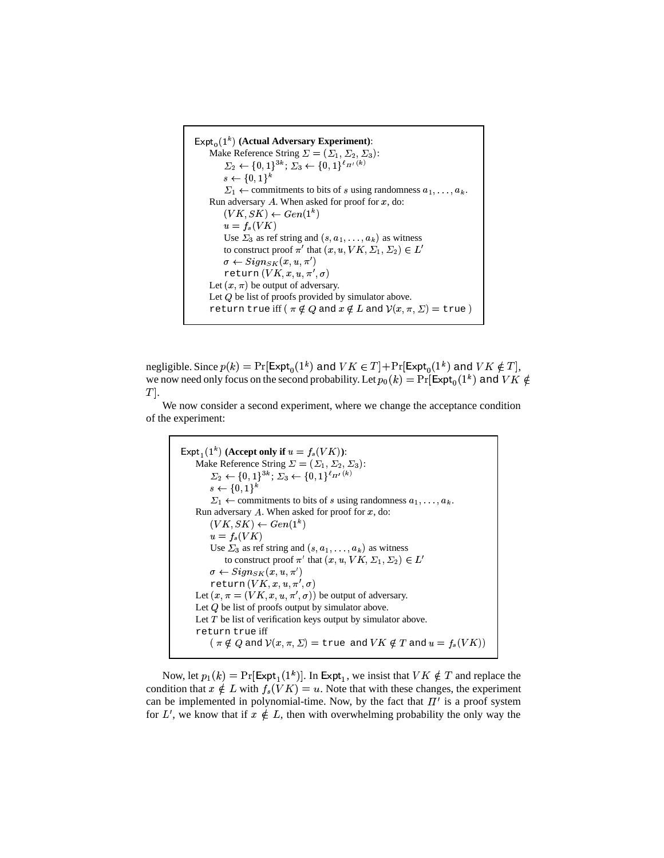$\mathsf{Expt}_0(1^{\kappa})$  (**Actual Adversary Experiment**): Make Reference String  $\Sigma = (\Sigma_1, \Sigma_2, \Sigma_3)$ :  $\Sigma_2 \leftarrow \{0, 1\}^{3k}; \, \Sigma_3 \leftarrow \{0, 1\}^{\ell_{\pi'}(k)}$  $s \leftarrow \{0, 1\}^k$  $\Sigma_1 \leftarrow$  commitments to bits of s using randomness  $a_1, \ldots, a_k$ . Run adversary  $A$ . When asked for proof for  $x$ , do:  $(VK, SK) \leftarrow Gen(1^k)$  $u = f_s(VK)$ Use  $\Sigma_3$  as ref string and  $(s, a_1, \ldots, a_k)$  as witness to construct proof  $\pi'$  that  $(x, u, VK, \Sigma_1, \Sigma_2) \in L'$  $\sigma \leftarrow$  Signs  $\kappa(x, u, \pi')$ return  $(VK, x, u, \pi', \sigma)$ Let  $(x, \pi)$  be output of adversary. Let  $Q$  be list of proofs provided by simulator above. return true iff (  $\pi\notin Q$  and  $x\notin L$  and  $\mathcal{V}(x,\pi,\mathit{\Sigma})=$  true )  $\quad \mid$ 

negligible. Since  $p(k) = \Pr[\mathsf{Expt}_0(1^k)$  and  $VK \in T] + \Pr[\mathsf{Expt}_0(1^k)$  and  $VK \notin T]$ , we now need only focus on the second probability. Let  $p_0(k) = \Pr[\mathsf{Expt}_0(1^k)$  and  $VK \notin$  $T$ ].

We now consider a second experiment, where we change the acceptance condition of the experiment:

 $\mathsf{Expt}_1(1^k)$  (Accept only if  $u = f_s(VK)$ ): Make Reference String  $\Sigma = (\Sigma_1, \Sigma_2, \Sigma_3)$ :  $\Sigma_2 \leftarrow \{0, 1\}^{3k}; \Sigma_3 \leftarrow \{0, 1\}^{\ell_{\Pi'}(k)}$  $s \leftarrow \{0,1\}^k$  $\Sigma_1 \leftarrow$  commitments to bits of s using randomness  $a_1, \ldots, a_k$ . Run adversary  $A$ . When asked for proof for  $x$ , do:  $(VK, SK) \leftarrow Gen(1^k)$  $u = f_s(VK)$ Use  $\Sigma_3$  as ref string and  $(s, a_1, \ldots, a_k)$  as witness to construct proof  $\pi'$  that  $(x, u, VK, \Sigma_1, \Sigma_2) \in L'$  $\sigma \leftarrow$  Signs  $\kappa(x, u, \pi')$ return  $(VK, x, u, \pi^{'}, \sigma)$ Let  $(x, \pi = (VK, x, u, \pi', \sigma))$  be output of adversary. Let  $Q$  be list of proofs output by simulator above. Let  $T$  be list of verification keys output by simulator above. return true iff 8HG; <sup>F</sup> and <sup>J</sup> ( <sup>8</sup> true and )W+ G; <sup>V</sup> and <sup>3</sup> X4
6 \*)7+.U

Now, let  $p_1(k) = Pr[Expt_1(1^k)]$ . In Expt<sub>1</sub>, we insist that  $VK \notin T$  and replace the condition that  $x \notin L$  with  $f_s(VK) = u$ . Note that with these changes, the experiment can be implemented in polynomial-time. Now, by the fact that  $\Pi'$  is a proof system for  $L'$ , we know that if  $x \notin L$ , then with overwhelming probability the only way the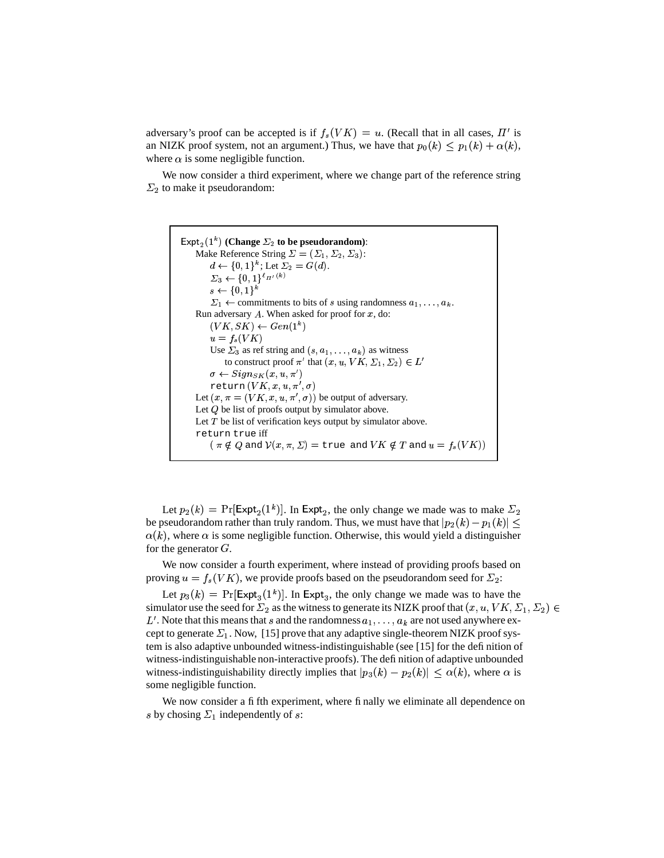adversary's proof can be accepted is if  $f_s(VK) = u$ . (Recall that in all cases,  $\Pi'$  is an NIZK proof system, not an argument.) Thus, we have that  $p_0(k) \leq p_1(k) + \alpha(k)$ , where  $\alpha$  is some negligible function.

We now consider a third experiment, where we change part of the reference string  $\Sigma_2$  to make it pseudorandom:

 $\mathsf{Expt}_2(1^k)$  (Change  $\Sigma_2$  to be pseudorandom): Make Reference String  $\Sigma = (\Sigma_1, \Sigma_2, \Sigma_3)$ :  $d \leftarrow \{0,1\}^k$ ; Let  $\Sigma_2 = G(d)$ .  $\Sigma_3 \leftarrow \{0, 1\}^{\ell_{\Pi'}(\kappa)}$  $s \leftarrow \{0,1\}^k$  $\Sigma_1 \leftarrow$  commitments to bits of s using randomness  $a_1, \ldots, a_k$ . Run adversary  $A$ . When asked for proof for  $x$ , do:  $(VK, SK) \leftarrow Gen(1^k)$  $u = f_s(VK)$ Use  $\Sigma_3$  as ref string and  $(s, a_1, \ldots, a_k)$  as witness to construct proof  $\pi'$  that  $(x, u, VK, \Sigma_1, \Sigma_2) \in L'$  $\sigma \leftarrow Sing_{K}(x, u, \pi')$ return  $(VK, x, u, \pi', \sigma)$ Let  $(x, \pi = (VK, x, u, \pi', \sigma))$  be output of adversary. Let  $Q$  be list of proofs output by simulator above. Let  $T$  be list of verification keys output by simulator above. return true iff 8HG; <sup>F</sup> and <sup>J</sup> ( <sup>8</sup> true and )W+ G; <sup>V</sup> and <sup>3</sup> X4<sup>6</sup> \*)7+.U

Let  $p_2(k) = Pr[Expt_2(1^k)]$ . In Expt<sub>2</sub>, the only change we made was to make  $\Sigma_2$ be pseudorandom rather than truly random. Thus, we must have that  $|p_2(k) - p_1(k)| \le$  $\alpha(k)$ , where  $\alpha$  is some negligible function. Otherwise, this would yield a distinguisher for the generator  $G$ .

We now consider a fourth experiment, where instead of providing proofs based on proving  $u = f_s(VK)$ , we provide proofs based on the pseudorandom seed for  $\Sigma_2$ :

Let  $p_3(k) = Pr[Expt_3(1^k)]$ . In Expt<sub>3</sub>, the only change we made was to have the simulator use the seed for  $\Sigma_2$  as the witness to generate its NIZK proof that  $(x, u, VK, \Sigma_1, \Sigma_2) \in$ L'. Note that this means that s and the randomness  $a_1, \ldots, a_k$  are not used anywhere except to generate  $\Sigma_1$ . Now, [15] prove that any adaptive single-theorem NIZK proof system is also adaptive unbounded witness-indistinguishable (see [15] for the definition of witness-indistinguishable non-interactive proofs). The definition of adaptive unbounded witness-indistinguishability directly implies that  $|p_3(k) - p_2(k)| \le \alpha(k)$ , where  $\alpha$  is some negligible function.

We now consider a fi fth experiment, where finally we eliminate all dependence on s by chosing  $\Sigma_1$  independently of s: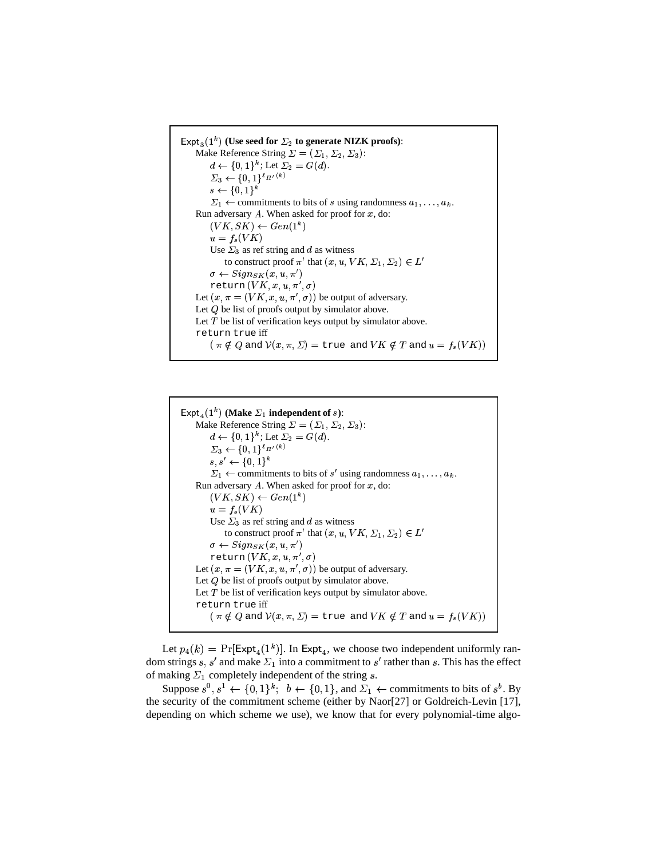$\mathsf{Expt}_3(1^k)$  (Use seed for  $\Sigma_2$  to generate NIZK proofs): Make Reference String  $\Sigma = (\Sigma_1, \Sigma_2, \Sigma_3)$ :  $d \leftarrow \{0,1\}^k$ ; Let  $\Sigma_2 = G(d)$ .  $\Sigma_3 \leftarrow \{0, 1\}^{\ell_{\Pi'}(\kappa)}$  $s \leftarrow \{0,1\}^k$  $\Sigma_1 \leftarrow$  commitments to bits of s using randomness  $a_1, \ldots, a_k$ . Run adversary  $A$ . When asked for proof for  $x$ , do:  $(VK, SK) \leftarrow Gen(1^k)$  $u = f_s(VK)$ Use  $\Sigma_3$  as ref string and d as witness to construct proof  $\pi'$  that  $(x, u, VK, \Sigma_1, \Sigma_2) \in L'$  $\sigma \leftarrow Sing_{K}(x, u, \pi')$ return  $(VK, x, u, \pi', \sigma)$ Let  $(x, \pi = (VK, x, u, \pi', \sigma))$  be output of adversary. Let  $Q$  be list of proofs output by simulator above. Let  $T$  be list of verification keys output by simulator above. return true iff 8HG; <sup>F</sup> and <sup>J</sup> ( <sup>8</sup> true and )W+ G; <sup>V</sup> and <sup>3</sup> X4<sup>6</sup> \*)7+.U

 $\mathsf{Expt}_4(1^k)$  (Make  $\Sigma_1$  independent of s): Make Reference String  $\Sigma = (\Sigma_1, \Sigma_2, \Sigma_3)$ :  $d \leftarrow \{0,1\}^k$ ; Let  $\Sigma_2 = G(d)$ .  $\Sigma_3 \leftarrow \{0, 1\}^{\ell_{\Pi'}(\kappa)}$  $s' \leftarrow \{0, 1\}^{\kappa}$  $\Sigma_1 \leftarrow$  commitments to bits of s' using randomness  $a_1, \ldots, a_k$ . Run adversary  $A$ . When asked for proof for  $x$ , do:  $(VK, SK) \leftarrow Gen(1^k)$  $u = f_s(VK)$ Use  $\Sigma_3$  as ref string and d as witness to construct proof  $\pi'$  that  $(x, u, VK, \Sigma_1, \Sigma_2) \in L'$  $\sigma \leftarrow Sing_{K}(x, u, \pi')$ return  $(VK, x, u, \pi', \sigma)$ Let  $(x, \pi = (VK, x, u, \pi', \sigma))$  be output of adversary. Let  $Q$  be list of proofs output by simulator above. Let  $T$  be list of verification keys output by simulator above. return true iff 8HG; <sup>F</sup> and <sup>J</sup> ( <sup>8</sup> true and )W+ G; <sup>V</sup> and <sup>3</sup> X4
6 \*)7+.U

Let  $p_4(k) = Pr[Expt_4(1^k)]$ . In Expt<sub>4</sub>, we choose two independent uniformly random strings s, s' and make  $\Sigma_1$  into a commitment to s' rather than s. This has the effect of making  $\Sigma_1$  completely independent of the string s.

Suppose  $s^0, s^1 \leftarrow \{0, 1\}^k$ ;  $b \leftarrow \{0, 1\}$ , and  $\Sigma_1 \leftarrow$  commitments to bits of  $s^b$ . By the security of the commitment scheme (either by Naor[27] or Goldreich-Levin [17], depending on which scheme we use), we know that for every polynomial-time algo-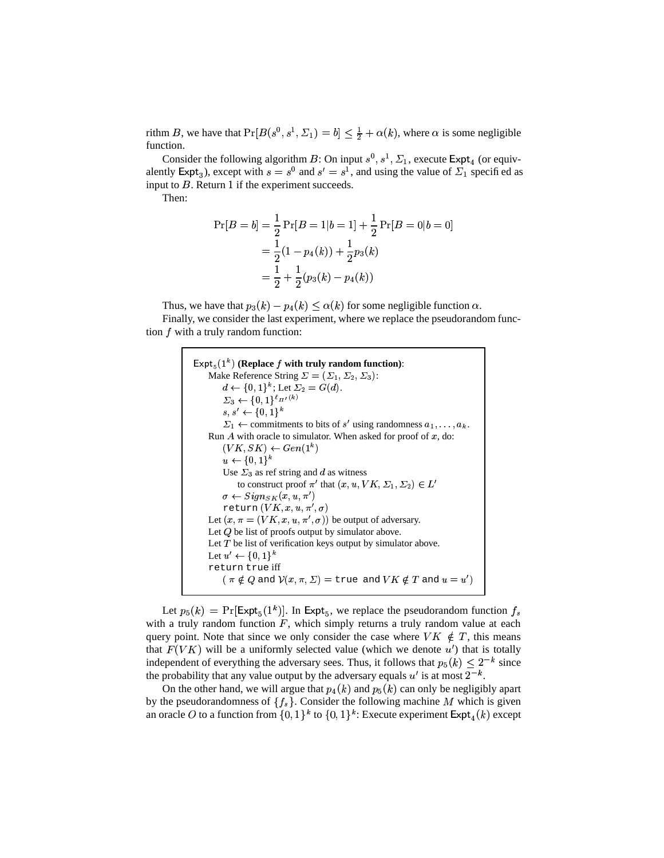rithm B, we have that  $Pr[B(s^0, s^1, \Sigma_1) = b] \leq \frac{1}{2} + \alpha(k)$ , where  $\alpha$  is some negligible function.

Consider the following algorithm B: On input  $s^0$ ,  $s^1$ ,  $\Sigma_1$ , execute Expt<sub>4</sub> (or equivalently Expt<sub>3</sub>), except with  $s = s^0$  and  $s' = s^1$ , and using the value of  $\Sigma_1$  specified as input to  $B$ . Return 1 if the experiment succeeds.

Then:

$$
\Pr[B = b] = \frac{1}{2} \Pr[B = 1|b = 1] + \frac{1}{2} \Pr[B = 0|b = 0]
$$

$$
= \frac{1}{2} (1 - p_4(k)) + \frac{1}{2} p_3(k)
$$

$$
= \frac{1}{2} + \frac{1}{2} (p_3(k) - p_4(k))
$$

Thus, we have that  $p_3(k) - p_4(k) \le \alpha(k)$  for some negligible function  $\alpha$ .

Finally, we consider the last experiment, where we replace the pseudorandom function  $f$  with a truly random function:

```
\mathsf{Expt}_5(1^{\kappa}) (Replace f with truly random function):
    Make Reference String \Sigma = (\Sigma_1, \Sigma_2, \Sigma_3):
        d \leftarrow \{0,1\}^k; Let \Sigma_2 = G(d).
        \Sigma_3 \leftarrow \{0,1\}^{\ell_{\Pi'}(\kappa)}s' \leftarrow \{0, 1\}^k\Sigma_1 \leftarrow commitments to bits of s' using randomness a_1, \ldots, a_k.
   Run A with oracle to simulator. When asked for proof of x, do:
        (VK, SK) \leftarrow Gen(1^k)u \leftarrow \{0,1\}^kUse \Sigma_3 as ref string and d as witness
             to construct proof \pi' that (x, u, VK, \Sigma_1, \Sigma_2) \in L'\sigma \leftarrow Sing_{K}(x, u, \pi')return (VK, x, u, \pi', \sigma)Let (x, \pi = (VK, x, u, \pi', \sigma)) be output of adversary.
   Let Q be list of proofs output by simulator above.
   Let T be list of verification keys output by simulator above.
    Let u' \leftarrow \{0,1\}^kreturn true iff
         \left(\; \pi \notin Q \text{ and } \mathcal{V}(x, \pi, \varSigma) = \text{\texttt{true}} \text{ and } V K \notin T \text{ and } u = u'\right) \;\;\;\mid
```
Let  $p_5(k) = Pr[Expt_5(1^k)]$ . In Expt<sub>5</sub>, we replace the pseudorandom function  $f_s$ with a truly random function  $F$ , which simply returns a truly random value at each query point. Note that since we only consider the case where  $VK \notin T$ , this means that  $F(VK)$  will be a uniformly selected value (which we denote  $u'$ ) that is totally independent of everything the adversary sees. Thus, it follows that  $p_5(k) \leq 2^{-k}$  since the probability that any value output by the adversary equals  $u'$  is at most  $2^{-k}$ .

On the other hand, we will argue that  $p_4(k)$  and  $p_5(k)$  can only be negligibly apart by the pseudorandomness of  $\{f_s\}$ . Consider the following machine M which is given an oracle O to a function from  $\{0,1\}^k$  to  $\{0,1\}^k$ : Execute experiment Expt<sub>4</sub>(k) except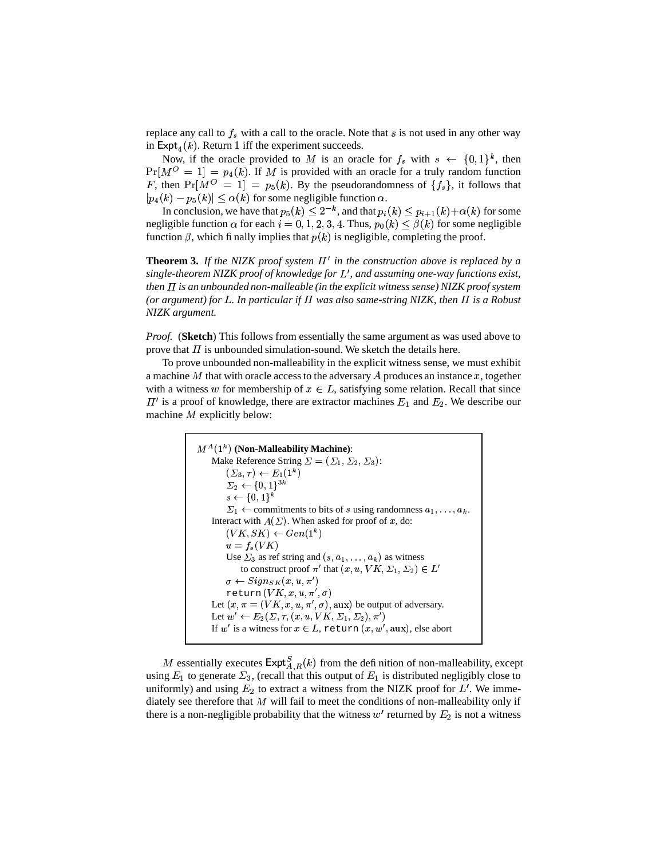replace any call to  $f_s$  with a call to the oracle. Note that  $s$  is not used in any other way in  $\textsf{Expt}_4(k)$ . Return 1 iff the experiment succeeds.

Now, if the oracle provided to M is an oracle for  $f_s$  with  $s \leftarrow \{0,1\}^k$ , then  $Pr[M^{\circ} = 1] = p_4(k)$ . If M is provided with an oracle for a truly random function F, then  $Pr[M^O = 1] = p_5(k)$ . By the pseudorandomness of  $\{f_s\}$ , it follows that  $|p_4(k) - p_5(k)| \leq \alpha(k)$  for some negligible function  $\alpha$ .

In conclusion, we have that  $p_5(k) \leq 2^{-k}$ , and that  $p_i(k) \leq p_{i+1}(k) + \alpha(k)$  for some negligible function  $\alpha$  for each  $i = 0, 1, 2, 3, 4$ . Thus,  $p_0(k) \leq \beta(k)$  for some negligible function  $\beta$ , which finally implies that  $p(k)$  is negligible, completing the proof.

**Theorem 3.** If the NIZK proof system  $\Pi'$  in the construction above is replaced by a *single-theorem NIZK proof of knowledge for* ' *, and assuming one-way functions exist, then is an unbounded non-malleable (in the explicit witness sense) NIZK proofsystem (or argument)* for L. In particular if  $\Pi$  was also same-string NIZK, then  $\Pi$  is a Robust *NIZK argument.*

*Proof.* (**Sketch**) This follows from essentially the same argument as was used above to prove that  $\Pi$  is unbounded simulation-sound. We sketch the details here.

To prove unbounded non-malleability in the explicit witness sense, we must exhibit a machine  $M$  that with oracle access to the adversary  $A$  produces an instance  $x$ , together with a witness w for membership of  $x \in L$ , satisfying some relation. Recall that since  $\Pi'$  is a proof of knowledge, there are extractor machines  $E_1$  and  $E_2$ . We describe our machine  $M$  explicitly below:

```
M^A(1^k) (Non-Malleability Machine):
    Make Reference String \Sigma = (\Sigma_1, \Sigma_2, \Sigma_3):
         (\Sigma_3, \tau) \leftarrow E_1(1^k)\Sigma_2 \leftarrow \{0, 1\}^{3k}\lambda, \left[ \begin{matrix} 0 & 1 \end{matrix} \right] \mathcal{R}\Sigma_1 \leftarrow commitments to bits of s using randomness a_1, \ldots, a_k.
    Interact with A(\Sigma). When asked for proof of x, do:
         (W_1^T \mathcal{L}^c \mathcal{L}^c) , \mathcal{L}_{\text{on}}(1^k)u = f_s(VK)Use \Sigma_3 as ref string and (s, a_1, \ldots, a_k) as witness
              to construct proof \pi' that (x, u, VK, \Sigma_1, \Sigma_2) \in L'\sigma \leftarrow Signs \kappa(x, u, \pi')return (VK, x, u, \pi', \sigma)Let (x, \pi = (VK, x, u, \pi', \sigma), aux) be output of adversary.
    Let w' \leftarrow E_2(\Sigma, \tau, (x, u, VK, \Sigma_1, \Sigma_2), \pi')If w' is a witness for x \in L, return (x, w', \text{aux}), else abort
```
M essentially executes  $\textsf{Expt}_{A,R}^S(k)$  from the  $(k)$  from the definition of non-malleability, except using  $E_1$  to generate  $\Sigma_3$ , (recall that this output of  $E_1$  is distributed negligibly close to uniformly) and using  $E_2$  to extract a witness from the NIZK proof for  $L'$ . We immediately see therefore that  $M$  will fail to meet the conditions of non-malleability only if there is a non-negligible probability that the witness  $w'$  returned by  $E_2$  is not a witness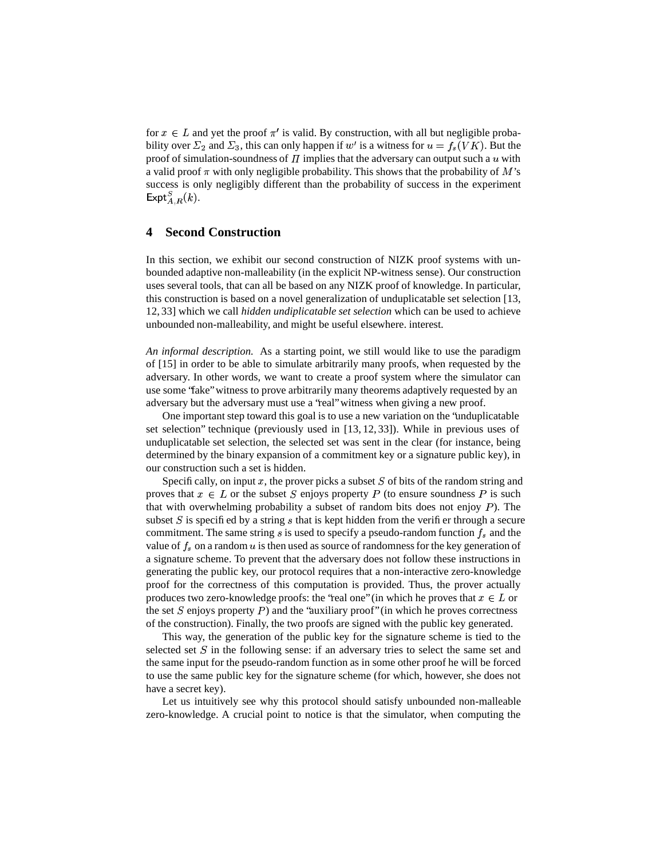for  $x \in L$  and yet the proof  $\pi'$  is valid. By construction, with all but negligible probability over  $\Sigma_2$  and  $\Sigma_3$ , this can only happen if w' is a witness for  $u = f_s(VK)$ . But the proof of simulation-soundness of  $\Pi$  implies that the adversary can output such a  $u$  with a valid proof  $\pi$  with only negligible probability. This shows that the probability of  $M$ 's success is only negligibly different than the probability of success in the experiment  $\mathsf{Expt}^S_{A.R}(k).$ 

## **4 Second Construction**

 $\mathcal{L}$  . The contract of the contract of the contract of the contract of the contract of the contract of the contract of the contract of the contract of the contract of the contract of the contract of the contract of th

In this section, we exhibit our second construction of NIZK proof systems with unbounded adaptive non-malleability (in the explicit NP-witness sense). Our construction uses several tools, that can all be based on any NIZK proof of knowledge. In particular, this construction is based on a novel generalization of unduplicatable set selection [13, 12, 33] which we call *hidden undiplicatable set selection* which can be used to achieve unbounded non-malleability, and might be useful elsewhere. interest.

*An informal description.* As a starting point, we still would like to use the paradigm of [15] in order to be able to simulate arbitrarily many proofs, when requested by the adversary. In other words, we want to create a proof system where the simulator can use some "fake" witness to prove arbitrarily many theorems adaptively requested by an adversary but the adversary must use a "real" witness when giving a new proof.

One important step toward this goal is to use a new variation on the "unduplicatable set selection" technique (previously used in [13, 12, 33]). While in previous uses of unduplicatable set selection, the selected set was sent in the clear (for instance, being determined by the binary expansion of a commitment key or a signature public key), in our construction such a set is hidden.

Specifically, on input x, the prover picks a subset  $S$  of bits of the random string and proves that  $x \in L$  or the subset S enjoys property P (to ensure soundness P is such that with overwhelming probability a subset of random bits does not enjoy  $P$ ). The subset  $S$  is specified by a string  $s$  that is kept hidden from the verifier through a secure commitment. The same string  $s$  is used to specify a pseudo-random function  $f_s$  and the value of  $f_s$  on a random  $u$  is then used as source of randomness for the key generation of a signature scheme. To prevent that the adversary does not follow these instructions in generating the public key, our protocol requires that a non-interactive zero-knowledge proof for the correctness of this computation is provided. Thus, the prover actually produces two zero-knowledge proofs: the 'real one" (in which he proves that  $x \in L$  or the set  $S$  enjoys property  $P$ ) and the "auxiliary proof" (in which he proves correctness of the construction). Finally, the two proofs are signed with the public key generated.

This way, the generation of the public key for the signature scheme is tied to the selected set  $S$  in the following sense: if an adversary tries to select the same set and the same input for the pseudo-random function as in some other proof he will be forced to use the same public key for the signature scheme (for which, however, she does not have a secret key).

Let us intuitively see why this protocol should satisfy unbounded non-malleable zero-knowledge. A crucial point to notice is that the simulator, when computing the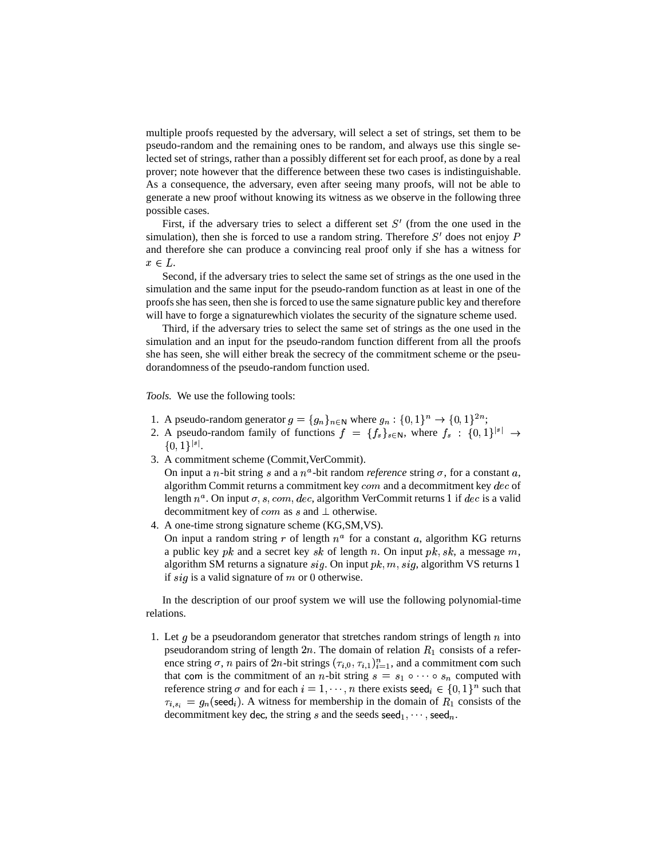multiple proofs requested by the adversary, will select a set of strings, set them to be pseudo-random and the remaining ones to be random, and always use this single selected set of strings, rather than a possibly different set for each proof, as done by a real prover; note however that the difference between these two cases is indistinguishable. As a consequence, the adversary, even after seeing many proofs, will not be able to generate a new proof without knowing its witness as we observe in the following three possible cases.

First, if the adversary tries to select a different set  $S<sup>t</sup>$  (from the one used in the simulation), then she is forced to use a random string. Therefore  $S'$  does not enjoy  $P$ and therefore she can produce a convincing real proof only if she has a witness for  $x \in L$ .

Second, if the adversary tries to select the same set of strings as the one used in the simulation and the same input for the pseudo-random function as at least in one of the proofsshe has seen, then she is forced to use the same signature public key and therefore will have to forge a signaturewhich violates the security of the signature scheme used.

Third, if the adversary tries to select the same set of strings as the one used in the simulation and an input for the pseudo-random function different from all the proofs she has seen, she will either break the secrecy of the commitment scheme or the pseudorandomness of the pseudo-random function used.

*Tools.* We use the following tools:

- 1. A pseudo-random generator  $g = \{g_n\}_{n \in \mathbb{N}}$  where  $g_n : \{0,1\}^n \to \{0,1\}^{2n}$ ;
- 2. A pseudo-random family of functions  $f = \{f_s\}_{s \in \mathbb{N}}$ , where  $f_s : \{0,1\}^{|s|} \to$  $\{0,1\}^{|s|}.$
- 3. A commitment scheme (Commit,VerCommit).

On input a *n*-bit string *s* and a  $n^a$ -bit random *reference* string  $\sigma$ , for a constant  $a$ , algorithm Commit returns a commitment key  $com$  and a decommitment key  $dec$  of length  $n^a$ . On input  $\sigma$ , s, com, dec, algorithm VerCommit returns 1 if dec is a valid decommitment key of *com* as s and  $\perp$  otherwise.

4. A one-time strong signature scheme (KG,SM,VS).

On input a random string r of length  $n<sup>a</sup>$  for a constant a, algorithm KG returns a public key pk and a secret key sk of length n. On input pk, sk, a message m, algorithm SM returns a signature  $sig$ . On input  $pk, m, sig$ , algorithm VS returns 1 if  $sig$  is a valid signature of m or 0 otherwise.

In the description of our proof system we will use the following polynomial-time relations.

1. Let g be a pseudorandom generator that stretches random strings of length  $n$  into pseudorandom string of length  $2n$ . The domain of relation  $R_1$  consists of a reference string  $\sigma$ , *n* pairs of 2*n*-bit strings  $(\tau_{i,0}, \tau_{i,1})_{i=1}^n$ , and a commitment com such that com is the commitment of an *n*-bit string  $s = s_1 \circ \cdots \circ s_n$  computed with reference string  $\sigma$  and for each  $i = 1, \dots, n$  there exists seed  $_i \in \{0,1\}^n$  such that  $\tau_{i,s_i} = g_n(\text{seed}_i)$ . A witness for membership in the domain of  $R_1$  consists of the decommitment key dec, the string s and the seeds  $\text{seed}_1, \dots, \text{seed}_n$ .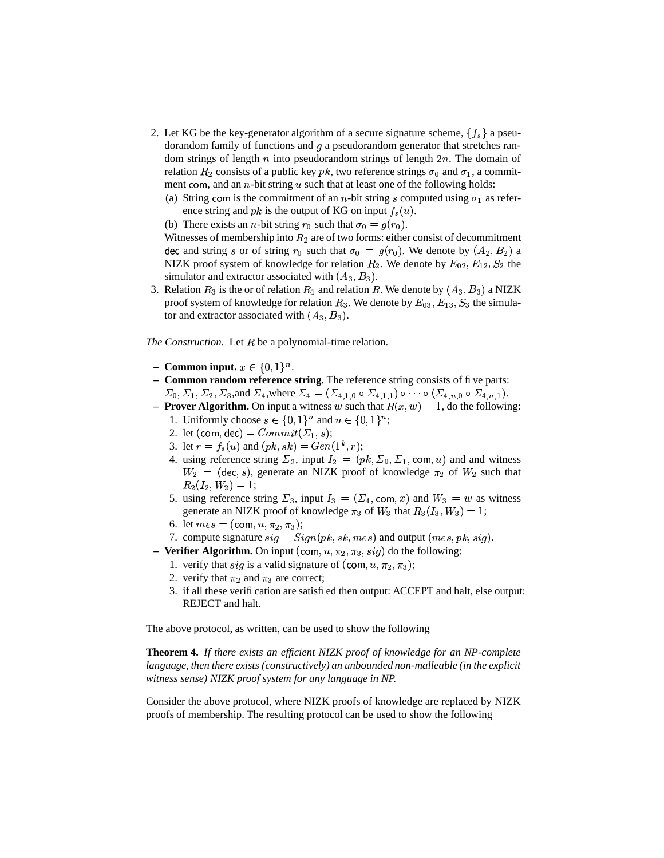- 2. Let KG be the key-generator algorithm of a secure signature scheme,  $\{f_s\}$  a pseudorandom family of functions and  $g$  a pseudorandom generator that stretches random strings of length  $n$  into pseudorandom strings of length  $2n$ . The domain of relation  $R_2$  consists of a public key  $pk$ , two reference strings  $\sigma_0$  and  $\sigma_1$ , a commitment com, and an  $n$ -bit string  $u$  such that at least one of the following holds:
	- (a) String com is the commitment of an *n*-bit string *s* computed using  $\sigma_1$  as reference string and pk is the output of KG on input  $f_s(u)$ .
	- (b) There exists an *n*-bit string  $r_0$  such that  $\sigma_0 = g(r_0)$ .

Witnesses of membership into  $R_2$  are of two forms: either consist of decommitment dec and string s or of string  $r_0$  such that  $\sigma_0 = g(r_0)$ . We denote by  $(A_2, B_2)$  a NIZK proof system of knowledge for relation  $R_2$ . We denote by  $E_{02}$ ,  $E_{12}$ ,  $S_2$  the simulator and extractor associated with  $(A_3, B_3)$ .

3. Relation  $R_3$  is the or of relation  $R_1$  and relation R. We denote by  $(A_3, B_3)$  a NIZK proof system of knowledge for relation  $R_3$ . We denote by  $E_{03}$ ,  $E_{13}$ ,  $S_3$  the simulator and extractor associated with  $(A_3, B_3)$ .

*The Construction.* Let  $R$  be a polynomial-time relation.

- **– Common input.**  $x \in \{0, 1\}^n$ .
- **– Common random reference string.** The reference string consists of five parts:  $\Sigma_0, \Sigma_1, \Sigma_2, \Sigma_3$ , and  $\Sigma_4$ , where  $\Sigma_4 = (\Sigma_{4,1,0} \circ \Sigma_{4,1,1}) \circ \cdots \circ (\Sigma_{4,n,0} \circ \Sigma_{4,n,1}).$
- **Prover Algorithm.** On input a witness w such that  $R(x, w) = 1$ , do the following: 1. Uniformly choose  $s \in \{0,1\}^n$  and  $u \in \{0,1\}^n$ ;
	- 2. let  $(\textsf{com}, \textsf{dec}) = Commit(\varSigma_1, s);$
	- 3. let  $r = f_s(u)$  and  $(pk, sk) = Gen(1^k, r)$ ;
	- 4. using reference string  $\Sigma_2$ , input  $I_2 = (pk, \Sigma_0, \Sigma_1, \text{com}, u)$  and and witness  $W_2 = (\text{dec}, s)$ , generate an NIZK proof of knowledge  $\pi_2$  of  $W_2$  such that  $R_2(I_2, W_2) = 1;$
	- 5. using reference string  $\Sigma_3$ , input  $I_3 = (\Sigma_4, \text{com}, x)$  and  $W_3 = w$  as witness generate an NIZK proof of knowledge  $\pi_3$  of  $W_3$  that  $R_3(I_3, W_3) = 1$ ;
	- 6. let  $mes = (com, u, \pi_2, \pi_3);$
	- 7. compute signature  $sig = Sign(pk, sk, mes)$  and output  $(mes, pk, sig)$ .
- **Verifier Algorithm.** On input  $(\text{com}, u, \pi_2, \pi_3, sig)$  do the following:
	- 1. verify that *sig* is a valid signature of  $(\text{com}, u, \pi_2, \pi_3)$ ;
	- 2. verify that  $\pi_2$  and  $\pi_3$  are correct;
	- 3. if all these verification are satisfied then output: ACCEPT and halt, else output: REJECT and halt.

The above protocol, as written, can be used to show the following

**Theorem 4.** *If there exists an efficient NIZK proof of knowledge for an NP-complete language, then there exists (constructively) an unbounded non-malleable (in the explicit witness sense) NIZK proof system for any language in NP.*

Consider the above protocol, where NIZK proofs of knowledge are replaced by NIZK proofs of membership. The resulting protocol can be used to show the following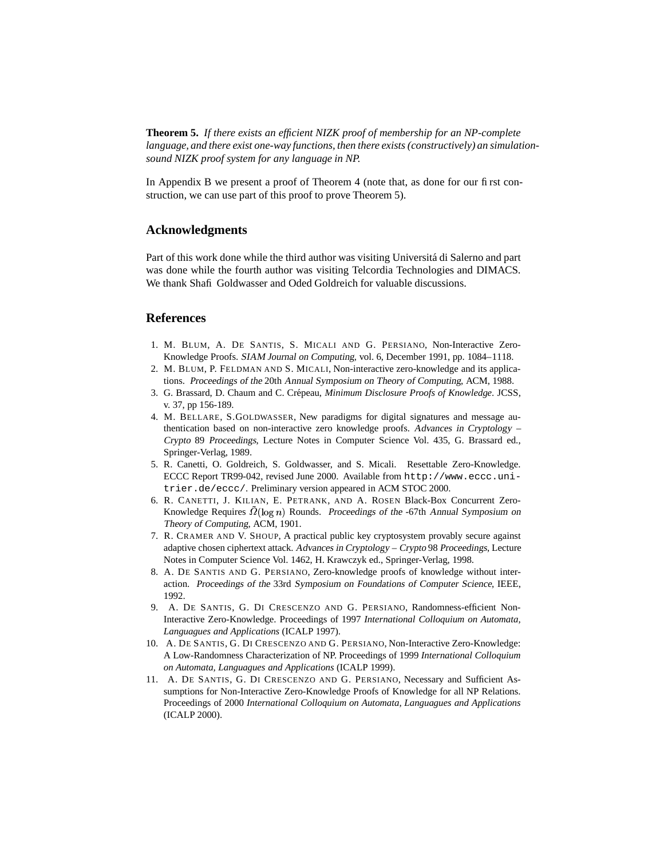**Theorem 5.** *If there exists an efficient NIZK proof of membership for an NP-complete language, and there exist one-way functions, then there exists (constructively) an simulationsound NIZK proof system for any language in NP.*

In Appendix B we present a proof of Theorem 4 (note that, as done for our first construction, we can use part of this proof to prove Theorem 5).

### **Acknowledgments**

Part of this work done while the third author was visiting Universitá di Salerno and part was done while the fourth author was visiting Telcordia Technologies and DIMACS. We thank Shafi Goldwasser and Oded Goldreich for valuable discussions.

### **References**

- 1. M. BLUM, A. DE SANTIS, S. MICALI AND G. PERSIANO, Non-Interactive Zero-Knowledge Proofs. SIAM Journal on Computing, vol. 6, December 1991, pp. 1084–1118.
- 2. M. BLUM, P. FELDMAN AND S. MICALI, Non-interactive zero-knowledge and its applications. Proceedings of the 20th Annual Symposium on Theory of Computing, ACM, 1988.
- 3. G. Brassard, D. Chaum and C. Crepeau, ´ *Minimum Disclosure Proofs of Knowledge*. JCSS, v. 37, pp 156-189.
- 4. M. BELLARE, S.GOLDWASSER, New paradigms for digital signatures and message authentication based on non-interactive zero knowledge proofs. Advances in Cryptology – Crypto 89 Proceedings, Lecture Notes in Computer Science Vol. 435, G. Brassard ed., Springer-Verlag, 1989.
- 5. R. Canetti, O. Goldreich, S. Goldwasser, and S. Micali. Resettable Zero-Knowledge. ECCC Report TR99-042, revised June 2000. Available from http://www.eccc.unitrier.de/eccc/. Preliminary version appeared in ACM STOC 2000.
- 6. R. CANETTI, J. KILIAN, E. PETRANK, AND A. ROSEN Black-Box Concurrent Zero-Knowledge Requires  $\Omega(\log n)$  Rounds. Proceedings of the -67th Annual Symposium on Theory of Computing, ACM, 1901.
- 7. R. CRAMER AND V. SHOUP, A practical public key cryptosystem provably secure against adaptive chosen ciphertext attack. Advances in Cryptology – Crypto 98 Proceedings, Lecture Notes in Computer Science Vol. 1462, H. Krawczyk ed., Springer-Verlag, 1998.
- 8. A. DE SANTIS AND G. PERSIANO, Zero-knowledge proofs of knowledge without interaction. Proceedings of the 33rd Symposium on Foundations of Computer Science, IEEE, 1992.
- 9. A. DE SANTIS, G. DI CRESCENZO AND G. PERSIANO, Randomness-efficient Non-Interactive Zero-Knowledge. Proceedings of 1997 *International Colloquium on Automata, Languagues and Applications* (ICALP 1997).
- 10. A. DE SANTIS, G. DI CRESCENZO AND G. PERSIANO, Non-Interactive Zero-Knowledge: A Low-Randomness Characterization of NP. Proceedings of 1999 *International Colloquium on Automata, Languagues and Applications* (ICALP 1999).
- 11. A. DE SANTIS, G. DI CRESCENZO AND G. PERSIANO, Necessary and Sufficient Assumptions for Non-Interactive Zero-Knowledge Proofs of Knowledge for all NP Relations. Proceedings of 2000 *International Colloquium on Automata, Languagues and Applications* (ICALP 2000).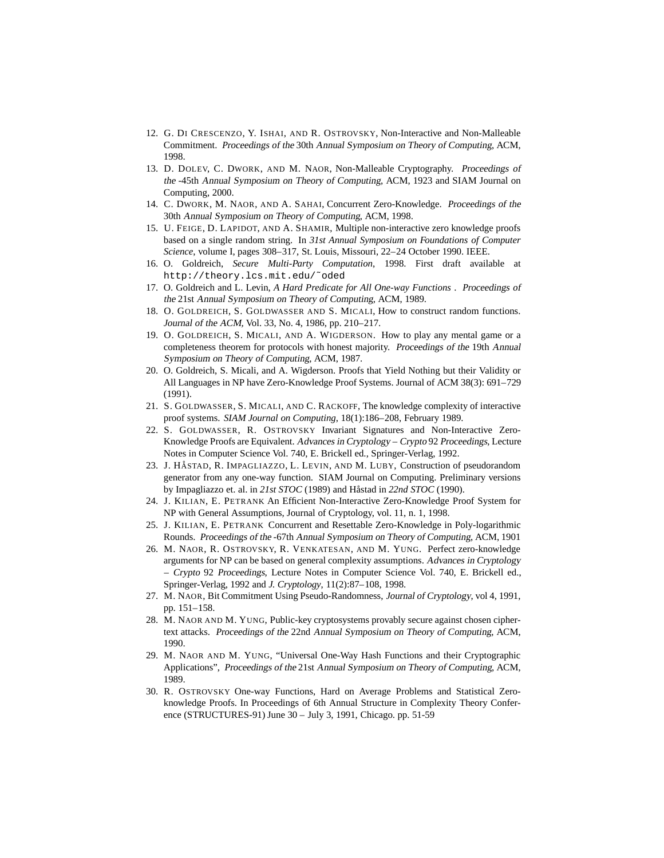- 12. G. DI CRESCENZO, Y. ISHAI, AND R. OSTROVSKY, Non-Interactive and Non-Malleable Commitment. Proceedings of the 30th Annual Symposium on Theory of Computing, ACM, 1998.
- 13. D. DOLEV, C. DWORK, AND M. NAOR, Non-Malleable Cryptography. Proceedings of the -45th Annual Symposium on Theory of Computing, ACM, 1923 and SIAM Journal on Computing, 2000.
- 14. C. DWORK, M. NAOR, AND A. SAHAI, Concurrent Zero-Knowledge. Proceedings of the 30th Annual Symposium on Theory of Computing, ACM, 1998.
- 15. U. FEIGE, D. LAPIDOT, AND A. SHAMIR, Multiple non-interactive zero knowledge proofs based on a single random string. In *31st Annual Symposium on Foundations of Computer Science*, volume I, pages 308–317, St. Louis, Missouri, 22–24 October 1990. IEEE.
- 16. O. Goldreich, *Secure Multi-Party Computation*, 1998. First draft available at http://theory.lcs.mit.edu/˜oded
- 17. O. Goldreich and L. Levin, *A Hard Predicate for All One-way Functions* . Proceedings of the 21st Annual Symposium on Theory of Computing, ACM, 1989.
- 18. O. GOLDREICH, S. GOLDWASSER AND S. MICALI, How to construct random functions. Journal of the ACM, Vol. 33, No. 4, 1986, pp. 210–217.
- 19. O. GOLDREICH, S. MICALI, AND A. WIGDERSON. How to play any mental game or a completeness theorem for protocols with honest majority. Proceedings of the 19th Annual Symposium on Theory of Computing, ACM, 1987.
- 20. O. Goldreich, S. Micali, and A. Wigderson. Proofs that Yield Nothing but their Validity or All Languages in NP have Zero-Knowledge Proof Systems. Journal of ACM 38(3): 691–729 (1991).
- 21. S. GOLDWASSER, S. MICALI, AND C. RACKOFF, The knowledge complexity of interactive proof systems. *SIAM Journal on Computing*, 18(1):186–208, February 1989.
- 22. S. GOLDWASSER, R. OSTROVSKY Invariant Signatures and Non-Interactive Zero-Knowledge Proofs are Equivalent. Advances in Cryptology – Crypto 92 Proceedings, Lecture Notes in Computer Science Vol. 740, E. Brickell ed., Springer-Verlag, 1992.
- 23. J. HÅSTAD, R. IMPAGLIAZZO, L. LEVIN, AND M. LUBY, Construction of pseudorandom generator from any one-way function. SIAM Journal on Computing. Preliminary versions by Impagliazzo et. al. in *21st STOC* (1989) and Håstad in *22nd STOC* (1990).
- 24. J. KILIAN, E. PETRANK An Efficient Non-Interactive Zero-Knowledge Proof System for NP with General Assumptions, Journal of Cryptology, vol. 11, n. 1, 1998.
- 25. J. KILIAN, E. PETRANK Concurrent and Resettable Zero-Knowledge in Poly-logarithmic Rounds. Proceedings of the -67th Annual Symposium on Theory of Computing, ACM, 1901
- 26. M. NAOR, R. OSTROVSKY, R. VENKATESAN, AND M. YUNG. Perfect zero-knowledge arguments for NP can be based on general complexity assumptions. Advances in Cryptology – Crypto 92 Proceedings, Lecture Notes in Computer Science Vol. 740, E. Brickell ed., Springer-Verlag, 1992 and *J. Cryptology*, 11(2):87–108, 1998.
- 27. M. NAOR, Bit Commitment Using Pseudo-Randomness, Journal of Cryptology, vol 4, 1991, pp. 151–158.
- 28. M. NAOR AND M. YUNG, Public-key cryptosystems provably secure against chosen ciphertext attacks. Proceedings of the 22nd Annual Symposium on Theory of Computing, ACM, 1990.
- 29. M. NAOR AND M. YUNG, "Universal One-Way Hash Functions and their Cryptographic Applications", Proceedings of the 21st Annual Symposium on Theory of Computing, ACM, 1989.
- 30. R. OSTROVSKY One-way Functions, Hard on Average Problems and Statistical Zeroknowledge Proofs. In Proceedings of 6th Annual Structure in Complexity Theory Conference (STRUCTURES-91) June 30 – July 3, 1991, Chicago. pp. 51-59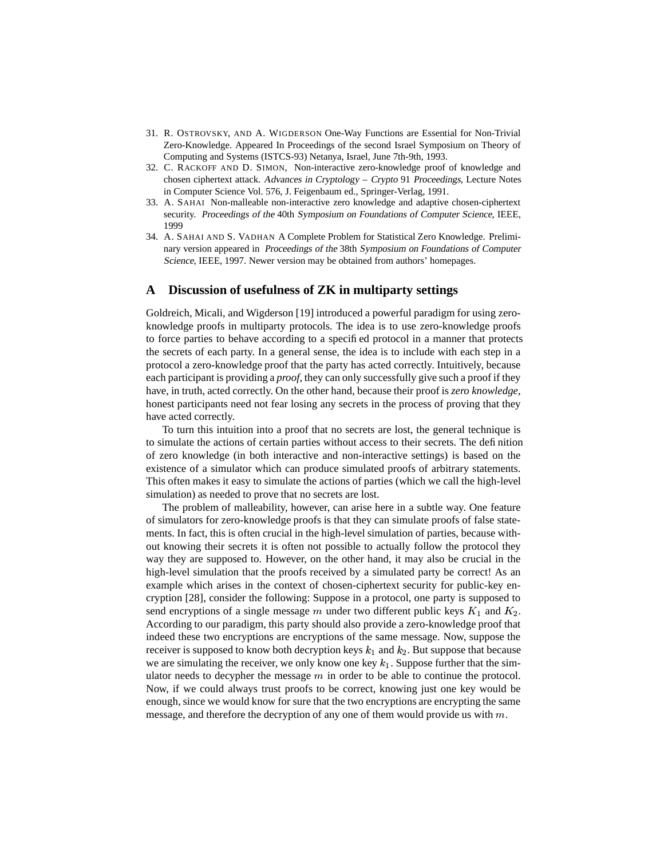- 31. R. OSTROVSKY, AND A. WIGDERSON One-Way Functions are Essential for Non-Trivial Zero-Knowledge. Appeared In Proceedings of the second Israel Symposium on Theory of Computing and Systems (ISTCS-93) Netanya, Israel, June 7th-9th, 1993.
- 32. C. RACKOFF AND D. SIMON, Non-interactive zero-knowledge proof of knowledge and chosen ciphertext attack. Advances in Cryptology – Crypto 91 Proceedings, Lecture Notes in Computer Science Vol. 576, J. Feigenbaum ed., Springer-Verlag, 1991.
- 33. A. SAHAI Non-malleable non-interactive zero knowledge and adaptive chosen-ciphertext security. Proceedings of the 40th Symposium on Foundations of Computer Science, IEEE, 1999
- 34. A. SAHAI AND S. VADHAN A Complete Problem for Statistical Zero Knowledge. Preliminary version appeared in Proceedings of the 38th Symposium on Foundations of Computer Science, IEEE, 1997. Newer version may be obtained from authors' homepages.

### **A Discussion of usefulness of ZK in multiparty settings**

Goldreich, Micali, and Wigderson [19] introduced a powerful paradigm for using zeroknowledge proofs in multiparty protocols. The idea is to use zero-knowledge proofs to force parties to behave according to a specified protocol in a manner that protects the secrets of each party. In a general sense, the idea is to include with each step in a protocol a zero-knowledge proof that the party has acted correctly. Intuitively, because each participant is providing a *proof*, they can only successfully give such a proof if they have, in truth, acted correctly. On the other hand, because their proof is *zero knowledge*, honest participants need not fear losing any secrets in the process of proving that they have acted correctly.

To turn this intuition into a proof that no secrets are lost, the general technique is to simulate the actions of certain parties without access to their secrets. The definition of zero knowledge (in both interactive and non-interactive settings) is based on the existence of a simulator which can produce simulated proofs of arbitrary statements. This often makes it easy to simulate the actions of parties (which we call the high-level simulation) as needed to prove that no secrets are lost.

The problem of malleability, however, can arise here in a subtle way. One feature of simulators for zero-knowledge proofs is that they can simulate proofs of false statements. In fact, this is often crucial in the high-level simulation of parties, because without knowing their secrets it is often not possible to actually follow the protocol they way they are supposed to. However, on the other hand, it may also be crucial in the high-level simulation that the proofs received by a simulated party be correct! As an example which arises in the context of chosen-ciphertext security for public-key encryption [28], consider the following: Suppose in a protocol, one party is supposed to send encryptions of a single message m under two different public keys  $K_1$  and  $K_2$ . According to our paradigm, this party should also provide a zero-knowledge proof that indeed these two encryptions are encryptions of the same message. Now, suppose the receiver is supposed to know both decryption keys  $k_1$  and  $k_2$ . But suppose that because we are simulating the receiver, we only know one key  $k_1$ . Suppose further that the simulator needs to decypher the message  $m$  in order to be able to continue the protocol. Now, if we could always trust proofs to be correct, knowing just one key would be enough, since we would know for sure that the two encryptions are encrypting the same message, and therefore the decryption of any one of them would provide us with  $m$ .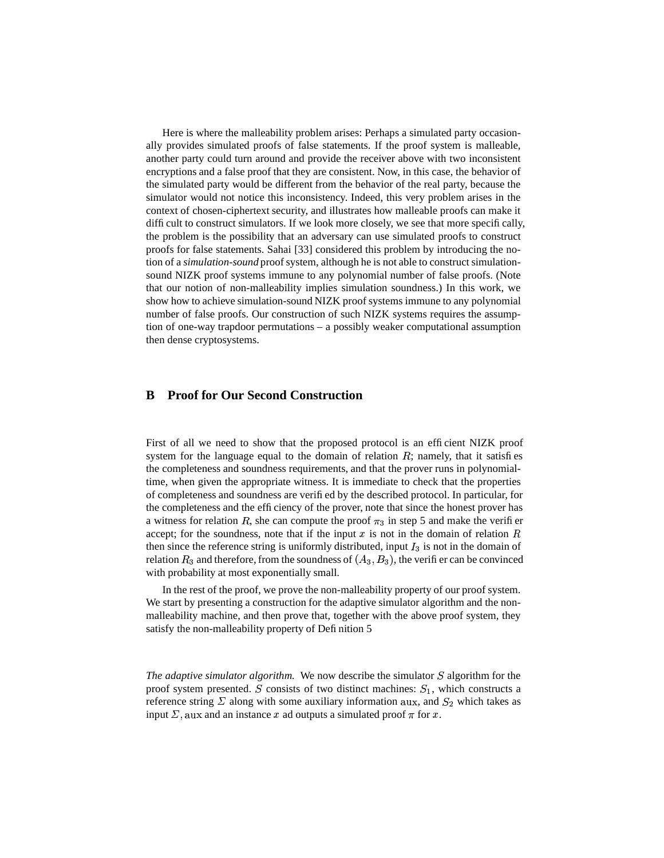Here is where the malleability problem arises: Perhaps a simulated party occasionally provides simulated proofs of false statements. If the proof system is malleable, another party could turn around and provide the receiver above with two inconsistent encryptions and a false proof that they are consistent. Now, in this case, the behavior of the simulated party would be different from the behavior of the real party, because the simulator would not notice this inconsistency. Indeed, this very problem arises in the context of chosen-ciphertext security, and illustrates how malleable proofs can make it difficult to construct simulators. If we look more closely, we see that more specifically, the problem is the possibility that an adversary can use simulated proofs to construct proofs for false statements. Sahai [33] considered this problem by introducing the notion of a *simulation-sound* proof system, although he is not able to construct simulationsound NIZK proof systems immune to any polynomial number of false proofs. (Note that our notion of non-malleability implies simulation soundness.) In this work, we show how to achieve simulation-sound NIZK proof systems immune to any polynomial number of false proofs. Our construction of such NIZK systems requires the assumption of one-way trapdoor permutations – a possibly weaker computational assumption then dense cryptosystems.

## **B Proof for Our Second Construction**

First of all we need to show that the proposed protocol is an efficient NIZK proof system for the language equal to the domain of relation  $R$ ; namely, that it satisfies the completeness and soundness requirements, and that the prover runs in polynomialtime, when given the appropriate witness. It is immediate to check that the properties of completeness and soundness are verified by the described protocol. In particular, for the completeness and the efficiency of the prover, note that since the honest prover has a witness for relation R, she can compute the proof  $\pi_3$  in step 5 and make the verifier accept; for the soundness, note that if the input x is not in the domain of relation R then since the reference string is uniformly distributed, input  $I_3$  is not in the domain of relation  $R_3$  and therefore, from the soundness of  $(A_3, B_3)$ , the verifier can be convinced with probability at most exponentially small.

In the rest of the proof, we prove the non-malleability property of our proof system. We start by presenting a construction for the adaptive simulator algorithm and the nonmalleability machine, and then prove that, together with the above proof system, they satisfy the non-malleability property of Definition 5

*The adaptive simulator algorithm.* We now describe the simulator  $S$  algorithm for the proof system presented. S consists of two distinct machines:  $S_1$ , which constructs a reference string  $\Sigma$  along with some auxiliary information aux, and  $S_2$  which takes as input  $\Sigma$ , aux and an instance x ad outputs a simulated proof  $\pi$  for x.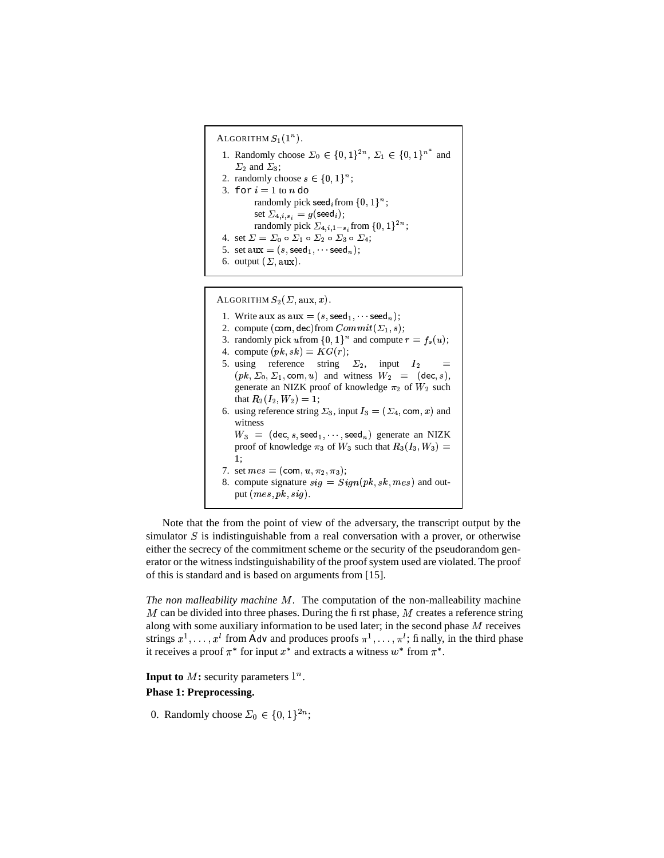ALGORITHM  $S_1(1^n).$ 1. Randomly choose  $\Sigma_0 \in \{0,1\}^{2n}$ ,  $\Sigma_1 \in \{0,1\}^{n^a}$  and  $\Sigma_2$  and  $\Sigma_3$ ; 2. randomly choose  $s \in \{0,1\}^n$ ; 3. for  $i=1$  to  $n$  do randomly pick seed from  $\{0, 1\}^n$ ; set  $\varSigma_{4,i,s_i} = g(\mathsf{seed}_i);$ randomly pick  $\Sigma_{4,i,1-s_i}$  from  $\{0,1\}^{2n}$ ; 4. set  $\Sigma = \Sigma_0 \circ \Sigma_1 \circ \Sigma_2 \circ \Sigma_3 \circ \Sigma_4;$ 5. set  $\text{aux} = (s, \text{seed}_1, \cdots \text{seed}_n);$ 6. output  $(\Sigma, \text{aux})$ .

ALGORITHM  $S_2(\varSigma, \mathrm{aux}, x)$  .

- 1. Write aux as  $aux = (s, \text{seed}_1, \dots \text{seed}_n);$
- 2. compute (com, dec) from  $Commit(\Sigma_1, s);$
- 3. randomly pick ufrom  $\{0, 1\}^n$  and compute  $r = f_s(u)$ ;
- 4. compute  $(pk, sk) = KG(r);$
- 5. using reference string  $\Sigma_2$ , input  $I_2 =$  $(pk, \Sigma_0, \Sigma_1, \text{com}, u)$  and witness  $W_2 = (\text{dec}, s),$ generate an NIZK proof of knowledge  $\pi_2$  of  $W_2$  such that  $R_2(I_2, W_2) = 1$ ; 6. using reference string  $\Sigma_3$ , input  $I_3 = (\Sigma_4, \text{com}, x)$  and
- witness  $W_3 = (\text{dec}, s, \text{seed}_1, \cdots, \text{seed}_n)$  generate an NIZK
- proof of knowledge  $\pi_3$  of  $W_3$  such that  $R_3(I_3, W_3) =$ ;
- 7. set  $mes = (com, u, \pi_2, \pi_3);$
- 8. compute signature  $sig = Sign(pk, sk, mes)$  and output  $( mes, pk, sig).$

Note that the from the point of view of the adversary, the transcript output by the simulator  $S$  is indistinguishable from a real conversation with a prover, or otherwise either the secrecy of the commitment scheme or the security of the pseudorandom generator or the witness indstinguishability of the proof system used are violated. The proof of this is standard and is based on arguments from [15].

*The non malleability machine M.* The computation of the non-malleability machine  $M$  can be divided into three phases. During the first phase,  $M$  creates a reference string along with some auxiliary information to be used later; in the second phase  $M$  receives strings  $x^1, \ldots, x^l$  from Adv and produces proofs  $\pi^1, \ldots, \pi^l$ ; finally, in the third phase it receives a proof  $\pi^*$  for input  $x^*$  and extracts a witness  $w^*$  from  $\pi^*$ .

**Input to**  $M$ **: security parameters**  $1^n$ **.** 

### **Phase 1: Preprocessing.**

0. Randomly choose  $\Sigma_0 \in \{0,1\}^{2n}$ ;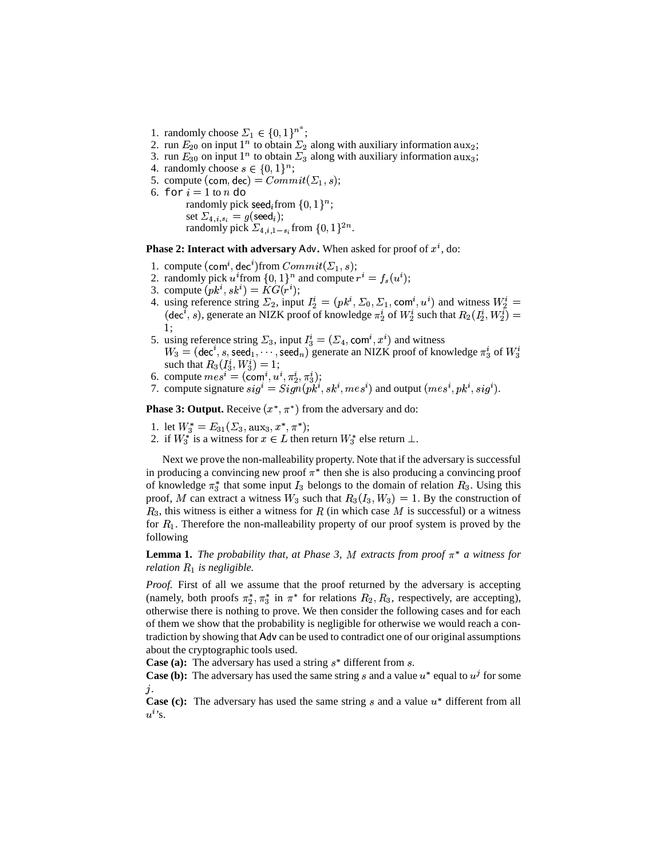- 1. randomly choose  $\Sigma_1 \in \{0,1\}^{n^{\omega}}$ ;
- 2. run  $E_{20}$  on input 1<sup>n</sup> to obtain  $\Sigma_2$  along with auxiliary information aux<sub>2</sub>;
- 3. run  $E_{30}$  on input  $1^n$  to obtain  $\Sigma_3$  along with auxiliary information aux<sub>3</sub>;
- 4. randomly choose  $s \in \{0,1\}^n$ ;
- 5. compute (com, dec) =  $Commit(\Sigma_1, s);$ 6. for  $i=1$  to  $n$  do randomly pick  $\operatorname{seed}_i$  from  $\{0,1\}^n$ ; set  $\varSigma_{4,i,s_i} = g(\mathsf{seed}_i);$ randomly pick  $\Sigma_{4,i,1-s_i}$  from  $\{0,1\}^{2n}$ .

**Phase 2: Interact with adversary Adv.** When asked for proof of  $x^i$ , do:

- 1. compute  $(\text{com}^i, \text{dec}^i)$  from  $Commit(\Sigma_1, s)$ ;
- 2. randomly pick  $u^i$  from  $\{0,1\}^n$  and compute  $r^i = f_s(u^i)$ ;
- 3. compute  $(pk^i, sk^i) = R$  $i, sk^i) = KG(i)$  $i) = KG(r^{i});$
- 4. using reference string  $\Sigma_2$ , input  $I_2^i = (p k^i, I)$  $\mathbf{A}_2^i = (p k^i, \Sigma_0, \Sigma_1, \mathbf{0})$  $i, \Sigma_0, \Sigma_1$ , com<sup>i</sup>,  $u^i$ ) and with  $(i, u^i)$  and witness  $W_2^i =$ (dec<sup>i</sup>, s), generate an NIZK proof of knowledge  $\pi^i_2$  of  $W^i_2$  such that  $R_2(I^i_2,W^i_2)$  $\{i, W_2^i\} =$  $\lambda$   $\lambda$   $\lambda$ 1; in the set of  $\mathbf{1}$  is the set of  $\mathbf{3}$  is the set of  $\mathbf{4}$  is the set of  $\mathbf{4}$
- 5. using reference string  $\Sigma_3$ , input  $I_3^i = (\Sigma_4, c_4)$  $\mathbf{z}_3^i = (\mathbf{\Sigma}_4, \text{com}^i, x^i)$  and with  $(i, x^i)$  and witness  $W_3 = (\text{dec}^i, s, \text{seed}_1, \cdots, \text{seed}_n)$  generate an NIZK proof of knowledge  $\pi_3^i$  of  $W_3^i$ such that  $R_3(I_3^i, W_3^i) = 1$  $i_{3}^{i}$ ,  $W_{3}^{i}$ ) = 1;  $s^{i}_{3}) = 1;$
- 6. compute  $mes^i = (com^i, u^i, \pi_2^i, \pi_3^i);$  $i, u^i, \pi_2^i, \pi_3^i);$  $(\frac{i}{2}, \pi^i_3);$  $\mathsf{n}^i, u^i, \pi_2^i, \pi_3^i);$
- 7. compute signature  $sig^i = Sign(pk^i, sk^i, mes)$  $^{i},sk^{i},mes^{i})$  ar  $i, mes^i)$  and output  $(mes^i, pk^i, sig^i)$ .  $^{i}).$

**Phase 3: Output.** Receive  $(x^*, \pi^*)$  from the adversary and do:

- 1. let  $W_3^* = E_{31}(\Sigma_3, \text{aux}_3, x^*, \pi^*)$ ;
- 2. if  $W_3^*$  is a witness for  $x \in L$  then return  $W_3^*$  else return  $\perp$ .

Next we prove the non-malleability property. Note that if the adversary is successful in producing a convincing new proof  $\pi^*$  then she is also producing a convincing proof of knowledge  $\pi_3^*$  that some input  $I_3$  belongs to the domain of relation  $R_3$ . Using this proof, M can extract a witness  $W_3$  such that  $R_3(I_3, W_3) = 1$ . By the construction of  $R_3$ , this witness is either a witness for R (in which case M is successful) or a witness for  $R_1$ . Therefore the non-malleability property of our proof system is proved by the following

**Lemma 1.** *The probability that, at Phase 3, M extracts from proof*  $\pi^*$  *a witness for relation*  $R_1$  *is negligible.* 

*Proof.* First of all we assume that the proof returned by the adversary is accepting (namely, both proofs  $\pi_2^*, \pi_3^*$  in  $\pi^*$  for relations  $R_2, R_3$ , respectively, are accepting), otherwise there is nothing to prove. We then consider the following cases and for each of them we show that the probability is negligible for otherwise we would reach a contradiction by showing that Adv can be used to contradict one of our original assumptions about the cryptographic tools used.

**Case (a):** The adversary has used a string  $s^*$  different from  $s$ .

**Case (b):** The adversary has used the same string s and a value  $u^*$  equal to  $u^j$  for some  $\!.$ 

**Case (c):** The adversary has used the same string  $s$  and a value  $u^*$  different from all  $u^i$ 's.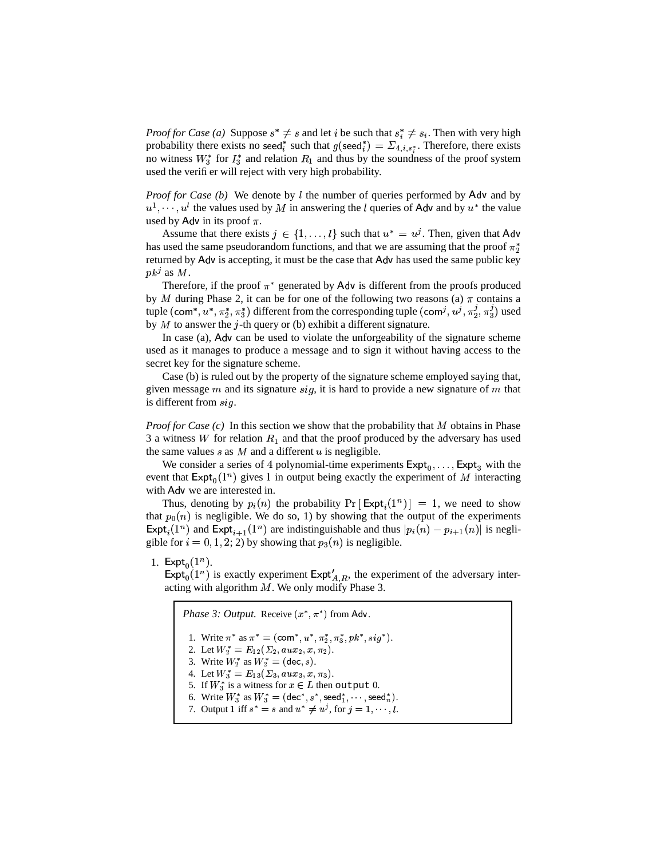*Proof for Case* (*a*) Suppose  $s^* \neq s$  and let *i* be such that  $s_i^* \neq s_i$ . Then with very high probability there exists no seed<sub>i</sub> such that  $g(\text{seed}_i^*) = \Sigma_{4,i,s_i^*}$ . Therefore, there exists no witness  $W_3^*$  for  $I_3^*$  and relation  $R_1$  and thus by the soundness of the proof system used the verifier will reject with very high probability.

*Proof for Case* (b) We denote by  $l$  the number of queries performed by Adv and by  $u^1, \dots, u^l$  the values used by M in answering the *l* queries of Adv and by  $u^*$  the value used by Adv in its proof  $\pi$ .

Assume that there exists  $j \in \{1, ..., l\}$  such that  $u^* = u^j$ . Then, given that Adv has used the same pseudorandom functions, and that we are assuming that the proof  $\pi_2^*$ returned by Adv is accepting, it must be the case that Adv has used the same public key  $\mu\kappa$  as  $M$ .  $^{j}$  as  $M$ .

Therefore, if the proof  $\pi^*$  generated by Adv is different from the proofs produced by M during Phase 2, it can be for one of the following two reasons (a)  $\pi$  contains a tuple (com<sup>\*</sup>,  $u^*$ ,  $\pi_2^*$ ,  $\pi_3^*$ ) different from the corresponding tuple (com<sup>j</sup>,  $u^j$ ,  $\pi_2^j$ ,  $\pi_3^j$ ) used by  $M$  to answer the  $j$ -th query or (b) exhibit a different signature.

In case (a),  $Adv$  can be used to violate the unforgeability of the signature scheme used as it manages to produce a message and to sign it without having access to the secret key for the signature scheme.

Case (b) is ruled out by the property of the signature scheme employed saying that, given message m and its signature  $sig$ , it is hard to provide a new signature of m that is different from  $sig$ .

*Proof for Case (c)* In this section we show that the probability that M obtains in Phase 3 a witness W for relation  $R_1$  and that the proof produced by the adversary has used the same values  $s$  as  $M$  and a different  $u$  is negligible.

We consider a series of 4 polynomial-time experiments  $\textsf{Expt}_0, \ldots, \textsf{Expt}_3$  with the event that  $\textsf{Expt}_0(1^n)$  gives 1 in output being exactly the experiment of M interacting with Adv we are interested in.

Thus, denoting by  $p_i(n)$  the probability  $\Pr[\text{Expt}_i(1^n)] = 1$ , we need to show that  $p_0(n)$  is negligible. We do so, 1) by showing that the output of the experiments Expt<sub>i</sub> $(1^n)$  and Expt<sub>i+1</sub> $(1^n)$  are indistinguishable and thus  $|p_i(n) - p_{i+1}(n)|$  is negligible for  $i = 0, 1, 2, 2$  by showing that  $p_3(n)$  is negligible.

### 1.  $\mathsf{Expt}_0(1^n)$ .

Expt<sub>0</sub>(1<sup>n</sup>) is exactly experiment Expt<sup>'</sup><sub>A,R</sub>, the experiment of the adversary interacting with algorithm  $M$ . We only modify Phase 3.

*Phase* 3: *Output.* Receive  $(x^*, \pi^*)$  from Adv. 1. Write  $\pi^*$  as  $\pi^* = (\text{com}^*, u^*, \pi_2^*, \pi_3^*, pk^*, sig^*).$ 2. Let  $W_2^* = E_{12}(\Sigma_2, aux_2, x, \pi_2)$ . 3. Write  $W_2^*$  as  $W_2^* = (\text{dec}, s)$ . 4. Let  $W_3^* = E_{13}(\Sigma_3, aux_3, x, \pi_3)$ . 5. If  $W_3^*$  is a witness for  $x \in L$  then output 0. 6. Write  $W_3^*$  as  $W_3^* = (\text{dec}^*, s^*, \text{seed}_1^*, \dots, \text{seed}_n^*).$ 7. Output 1 iff  $s^* = s$  and  $u^* \neq u^j$ , for  $j = 1, \dots, l$ .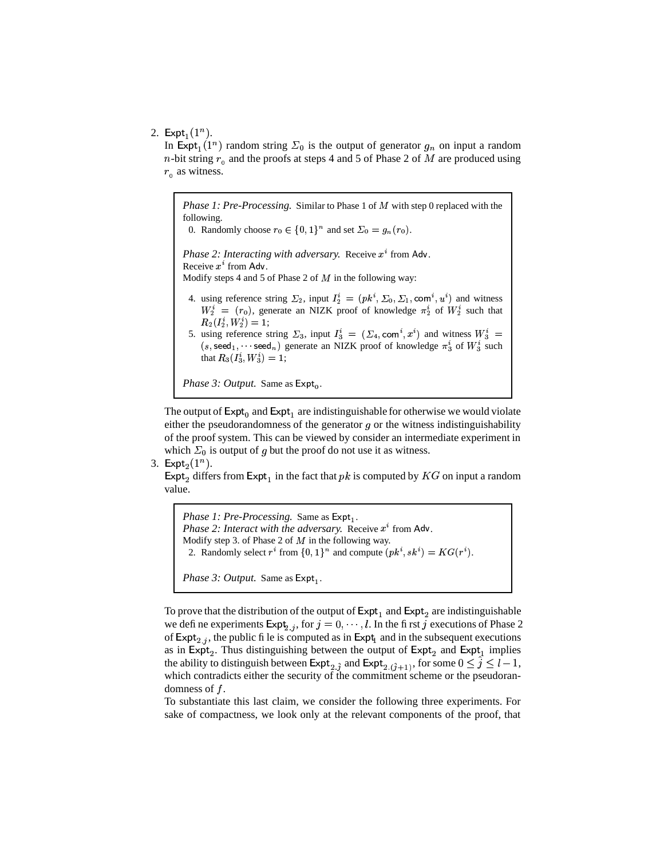2.  $\mathsf{Expt}_1(1^n)$ .

In Expt<sub>1</sub> (1<sup>n</sup>) random string  $\Sigma_0$  is the output of generator  $g_n$  on input a random *n*-bit string  $r_0$  and the proofs at steps 4 and 5 of Phase 2 of M are produced using  $r<sub>0</sub>$  as witness.

*Phase 1: Pre-Processing.* Similar to Phase 1 of M with step 0 replaced with the following. 0. Randomly choose  $r_0 \in \{0,1\}^n$  and set  $\Sigma_0 = g_n(r_0)$ . *Phase 2: Interacting with adversary.* Receive  $x^i$  from Adv. Receive  $x^i$  from Adv. Modify steps 4 and 5 of Phase 2 of  $M$  in the following way: 4. using reference string  $\Sigma_2$ , input  $I_2^i = (pk^i, \Sigma_0, \Sigma_1, \text{com}^i, u^i)$  and witness &  $\sigma_2^i = (r_0)$ , generate an NIZK proof of knowledge  $\pi_2^i$  of  $W_2^i$  such that  $R_2(I_2^i, W_2^i) = 1;$ 5. using reference string  $\Sigma_3$ , input  $I_3^i = (\Sigma_4, \text{com}^i, x^i)$  and with  $a^{i}$ ) and witness  $W_{3}^{i} =$ (s, seed<sub>1</sub>,  $\cdots$  seed<sub>n</sub>) generate an NIZK proof of knowledge  $\pi_3^*$  of  $W_3^*$  such that  $R_3(I_3^i, W_3^i) = 1$ ; *Phase 3: Output.* Same as  $Expt_0$ .

The output of  ${\sf Expt}_0$  and  ${\sf Expt}_1$  are indistinguishable for otherwise we would violate either the pseudorandomness of the generator  $g$  or the witness indistinguishability of the proof system. This can be viewed by consider an intermediate experiment in which  $\Sigma_0$  is output of g but the proof do not use it as witness.

3.  $\mathsf{Expt}_2(1^n)$ .

Expt<sub>2</sub> differs from Expt<sub>1</sub> in the fact that  $pk$  is computed by  $KG$  on input a random value.

*Phase 1: Pre-Processing.* Same as . *Phase* 2: *Interact with the adversary.* Receive  $x^i$  from Adv. Modify step 3. of Phase 2 of  $M$  in the following way. 2. Randomly select  $r^i$  from  $\{0,1\}^n$  and compute  $(pk^i, sk^i) = KG(r^i)$ . *Phase 3: Output.* Same as .

To prove that the distribution of the output of  $\textsf{Expt}_1$  and  $\textsf{Expt}_2$  are indistinguishable we define experiments  $\textsf{Expt}_{2,i}$ , for  $j = 0, \dots, l$ . In the first j executions of Phase 2 of  $Expt_{2,i}$ , the public file is computed as in  $Expt_i$  and in the subsequent executions as in Expt<sub>2</sub>. Thus distinguishing between the output of  $Expt<sub>2</sub>$  and  $Expt<sub>1</sub>$  implies the ability to distinguish between  $\mathsf{Expt}_{2,\hat{j}}$  and  $\mathsf{Expt}_{2,\hat{j}+1}$ , for some  $0 \leq \hat{j} \leq l-1$ , which contradicts either the security of the commitment scheme or the pseudorandomness of  $f$ .

To substantiate this last claim, we consider the following three experiments. For sake of compactness, we look only at the relevant components of the proof, that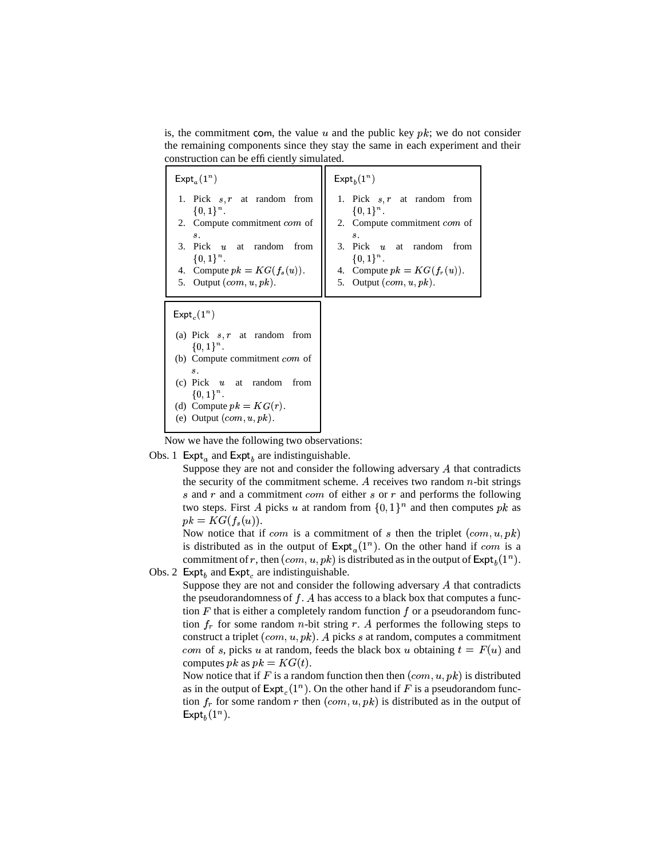is, the commitment com, the value  $u$  and the public key  $pk$ ; we do not consider the remaining components since they stay the same in each experiment and their construction can be efficiently simulated.

| $\mathsf{Expt}_a(1^n)$                                                                                                                                                                                                                     | $\mathsf{Expt}_h(1^n)$                                                                                                                                                                                          |  |
|--------------------------------------------------------------------------------------------------------------------------------------------------------------------------------------------------------------------------------------------|-----------------------------------------------------------------------------------------------------------------------------------------------------------------------------------------------------------------|--|
| 1. Pick $s, r$ at random from<br>$\{0,1\}^n$ .<br>2. Compute commitment <i>com</i> of<br>s.<br>3. Pick $u$ at random<br>from<br>${0,1}^n$ .<br>4. Compute $pk = KG(f_s(u))$ .<br>Output $(com, u, pk)$ .<br>5.                             | 1. Pick $s, r$ at random from<br>$\{0, 1\}^n$ .<br>2. Compute commitment <i>com</i> of<br>s.<br>3.<br>Pick $u$ at random<br>from<br>${0,1}^n$ .<br>4. Compute $pk = KG(f_r(u))$ .<br>5. Output $(com, u, pk)$ . |  |
| $\mathsf{Expt}_c(1^n)$<br>(a) Pick $s, r$ at random from<br>$\{0,1\}^n$ .<br>(b) Compute commitment <i>com</i> of<br>$s$ .<br>(c) Pick $u$ at random<br>from<br>$\{0,1\}^n$ .<br>(d) Compute $pk = KG(r)$ .<br>(e) Output $(com, u, pk)$ . |                                                                                                                                                                                                                 |  |

Now we have the following two observations:

Obs. 1  $\mathsf{Expt}_a$  and  $\mathsf{Expt}_b$  are indistinguishable.

Suppose they are not and consider the following adversary  $A$  that contradicts the security of the commitment scheme. A receives two random  $n$ -bit strings  $s$  and  $r$  and a commitment  $com$  of either  $s$  or  $r$  and performs the following two steps. First A picks u at random from  $\{0,1\}^n$  and then computes pk as  $pk = KG(f_s(u)).$ 

Now notice that if *com* is a commitment of s then the triplet  $(com, u, pk)$ is distributed as in the output of  $\text{Expt}_n(1^n)$ . On the other hand if com is a commitment of r, then  $(com, u, pk)$  is distributed as in the output of  $\mathsf{Expt}_b(1^n)$ . Obs. 2  $\mathsf{Expt}_b$  and  $\mathsf{Expt}_c$  are indistinguishable.

Suppose they are not and consider the following adversary  $A$  that contradicts the pseudorandomness of  $f$ . A has access to a black box that computes a function  $F$  that is either a completely random function  $f$  or a pseudorandom function  $f_r$  for some random *n*-bit string r. A performes the following steps to construct a triplet  $(com, u, pk)$ . A picks s at random, computes a commitment *com* of *s*, picks *u* at random, feeds the black box *u* obtaining  $t = F(u)$  and computes *pk* as  $pk = KG(t)$ .

Now notice that if F is a random function then then  $(com, u, pk)$  is distributed as in the output of  $\mathsf{Expt}_c(1^n)$ . On the other hand if F is a pseudorandom function  $f_r$  for some random r then  $(com, u, pk)$  is distributed as in the output of  $\mathsf{Expt}_b(1^n).$